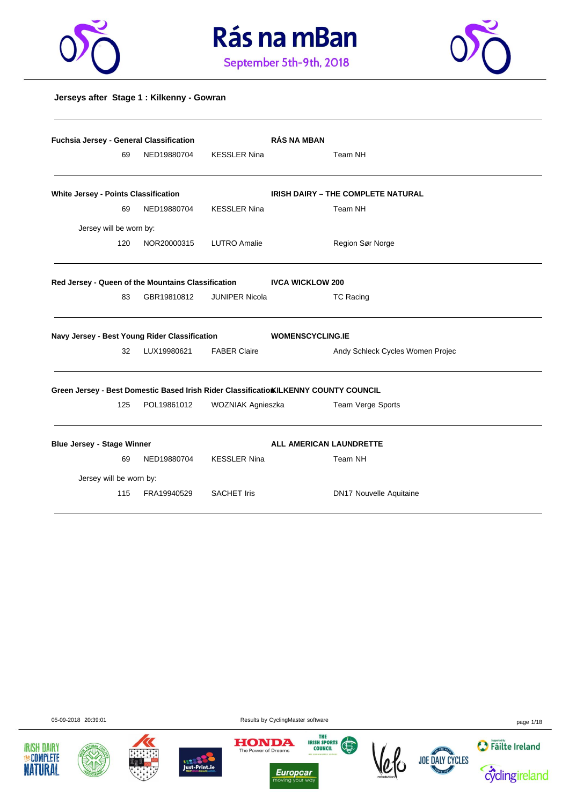





#### **Jerseys after Stage 1 : Kilkenny - Gowran**

| Fuchsia Jersey - General Classification     |     |                                                    |                       | <b>RÁS NA MBAN</b>                                                                   |
|---------------------------------------------|-----|----------------------------------------------------|-----------------------|--------------------------------------------------------------------------------------|
|                                             | 69  | NED19880704                                        | <b>KESSLER Nina</b>   | Team NH                                                                              |
| <b>White Jersey - Points Classification</b> |     |                                                    |                       | <b>IRISH DAIRY - THE COMPLETE NATURAL</b>                                            |
|                                             | 69  | NED19880704                                        | <b>KESSLER Nina</b>   | Team NH                                                                              |
| Jersey will be worn by:                     |     |                                                    |                       |                                                                                      |
|                                             | 120 | NOR20000315                                        | <b>LUTRO Amalie</b>   | Region Sør Norge                                                                     |
|                                             |     | Red Jersey - Queen of the Mountains Classification |                       | <b>IVCA WICKLOW 200</b>                                                              |
|                                             | 83  | GBR19810812                                        | <b>JUNIPER Nicola</b> | <b>TC Racing</b>                                                                     |
|                                             |     | Navy Jersey - Best Young Rider Classification      |                       | <b>WOMENSCYCLING.IE</b>                                                              |
|                                             | 32  | LUX19980621                                        | <b>FABER Claire</b>   | Andy Schleck Cycles Women Projec                                                     |
|                                             |     |                                                    |                       | Green Jersey - Best Domestic Based Irish Rider Classificatio KILKENNY COUNTY COUNCIL |
|                                             | 125 | POL19861012                                        | WOZNIAK Agnieszka     | Team Verge Sports                                                                    |
| <b>Blue Jersey - Stage Winner</b>           |     |                                                    |                       | ALL AMERICAN LAUNDRETTE                                                              |
|                                             | 69  | NED19880704                                        | <b>KESSLER Nina</b>   | Team NH                                                                              |
| Jersey will be worn by:                     |     |                                                    |                       |                                                                                      |
|                                             | 115 | FRA19940529                                        | <b>SACHET Iris</b>    | <b>DN17 Nouvelle Aquitaine</b>                                                       |

05-09-2018 20:39:01 Results by CyclingMaster software page 1/18













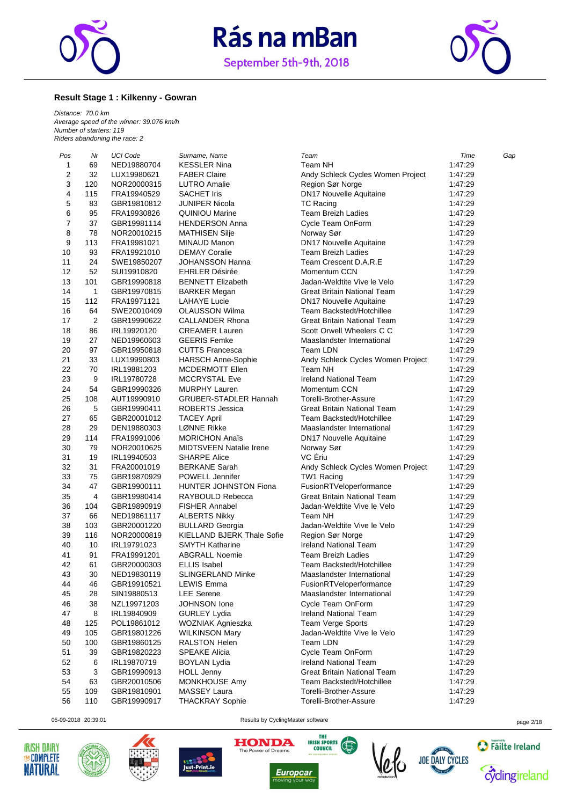



#### **Result Stage 1 : Kilkenny - Gowran**

*Distance: 70.0 km Average speed of the winner: 39.076 km/h Number of starters: 119 Riders abandoning the race: 2*

| Pos | Nr             | UCI Code    | Surname, Name                     | Team                               | Time    | Gap |
|-----|----------------|-------------|-----------------------------------|------------------------------------|---------|-----|
| 1   | 69             | NED19880704 | <b>KESSLER Nina</b>               | Team NH                            | 1:47:29 |     |
| 2   | 32             | LUX19980621 | <b>FABER Claire</b>               | Andy Schleck Cycles Women Project  | 1:47:29 |     |
| 3   | 120            | NOR20000315 | <b>LUTRO Amalie</b>               | Region Sør Norge                   | 1:47:29 |     |
| 4   | 115            | FRA19940529 | <b>SACHET Iris</b>                | <b>DN17 Nouvelle Aquitaine</b>     | 1:47:29 |     |
| 5   | 83             | GBR19810812 | <b>JUNIPER Nicola</b>             | <b>TC Racing</b>                   | 1:47:29 |     |
| 6   | 95             | FRA19930826 | <b>QUINIOU Marine</b>             | <b>Team Breizh Ladies</b>          | 1:47:29 |     |
| 7   | 37             | GBR19981114 | <b>HENDERSON Anna</b>             | Cycle Team OnForm                  | 1:47:29 |     |
| 8   | 78             | NOR20010215 | <b>MATHISEN Silje</b>             | Norway Sør                         | 1:47:29 |     |
| 9   | 113            | FRA19981021 | <b>MINAUD Manon</b>               | <b>DN17 Nouvelle Aquitaine</b>     | 1:47:29 |     |
| 10  | 93             | FRA19921010 | <b>DEMAY Coralie</b>              | <b>Team Breizh Ladies</b>          | 1:47:29 |     |
| 11  | 24             | SWE19850207 | <b>JOHANSSON Hanna</b>            | Team Crescent D.A.R.E              | 1:47:29 |     |
| 12  | 52             | SUI19910820 | <b>EHRLER Désirée</b>             | Momentum CCN                       | 1:47:29 |     |
| 13  | 101            | GBR19990818 | <b>BENNETT Elizabeth</b>          | Jadan-Weldtite Vive le Velo        | 1:47:29 |     |
| 14  | $\mathbf{1}$   | GBR19970815 | <b>BARKER Megan</b>               | <b>Great Britain National Team</b> | 1:47:29 |     |
| 15  | 112            | FRA19971121 | LAHAYE Lucie                      | <b>DN17 Nouvelle Aquitaine</b>     | 1:47:29 |     |
| 16  | 64             | SWE20010409 | <b>OLAUSSON Wilma</b>             | Team Backstedt/Hotchillee          | 1:47:29 |     |
| 17  | 2              | GBR19990622 | <b>CALLANDER Rhona</b>            | Great Britain National Team        | 1:47:29 |     |
| 18  | 86             | IRL19920120 | <b>CREAMER Lauren</b>             | Scott Orwell Wheelers C C          | 1:47:29 |     |
| 19  | 27             | NED19960603 | <b>GEERIS Femke</b>               | Maaslandster International         | 1:47:29 |     |
| 20  | 97             | GBR19950818 | <b>CUTTS Francesca</b>            | Team LDN                           | 1:47:29 |     |
| 21  | 33             | LUX19990803 | HARSCH Anne-Sophie                | Andy Schleck Cycles Women Project  | 1:47:29 |     |
| 22  | 70             | IRL19881203 | MCDERMOTT Ellen                   | Team NH                            | 1:47:29 |     |
| 23  | 9              | IRL19780728 | <b>MCCRYSTAL Eve</b>              | <b>Ireland National Team</b>       | 1:47:29 |     |
| 24  | 54             | GBR19990326 | <b>MURPHY Lauren</b>              | Momentum CCN                       | 1:47:29 |     |
| 25  | 108            | AUT19990910 | <b>GRUBER-STADLER Hannah</b>      | Torelli-Brother-Assure             | 1:47:29 |     |
| 26  | 5              | GBR19990411 | <b>ROBERTS Jessica</b>            | <b>Great Britain National Team</b> | 1:47:29 |     |
| 27  | 65             | GBR20001012 | <b>TACEY April</b>                | Team Backstedt/Hotchillee          | 1:47:29 |     |
| 28  | 29             | DEN19880303 | LØNNE Rikke                       | Maaslandster International         | 1:47:29 |     |
| 29  | 114            | FRA19991006 | <b>MORICHON Anaïs</b>             | DN17 Nouvelle Aquitaine            | 1:47:29 |     |
| 30  | 79             | NOR20010625 | <b>MIDTSVEEN Natalie Irene</b>    | Norway Sør                         | 1:47:29 |     |
| 31  | 19             | IRL19940503 | <b>SHARPE Alice</b>               | VC Eriu                            | 1:47:29 |     |
| 32  | 31             | FRA20001019 | <b>BERKANE Sarah</b>              | Andy Schleck Cycles Women Project  | 1:47:29 |     |
| 33  | 75             | GBR19870929 | POWELL Jennifer                   | TW1 Racing                         | 1:47:29 |     |
| 34  | 47             | GBR19900111 | <b>HUNTER JOHNSTON Fiona</b>      | FusionRTVeloperformance            | 1:47:29 |     |
| 35  | $\overline{4}$ | GBR19980414 | RAYBOULD Rebecca                  | <b>Great Britain National Team</b> | 1:47:29 |     |
| 36  | 104            | GBR19890919 | <b>FISHER Annabel</b>             | Jadan-Weldtite Vive le Velo        | 1:47:29 |     |
| 37  | 66             | NED19861117 | <b>ALBERTS Nikky</b>              | Team NH                            | 1:47:29 |     |
| 38  | 103            | GBR20001220 | <b>BULLARD Georgia</b>            | Jadan-Weldtite Vive le Velo        | 1:47:29 |     |
| 39  | 116            | NOR20000819 | <b>KIELLAND BJERK Thale Sofie</b> | Region Sør Norge                   | 1:47:29 |     |
| 40  | 10             | IRL19791023 | <b>SMYTH Katharine</b>            | <b>Ireland National Team</b>       | 1:47:29 |     |
| 41  | 91             | FRA19991201 | <b>ABGRALL Noemie</b>             | Team Breizh Ladies                 | 1:47:29 |     |
| 42  | 61             | GBR20000303 | <b>ELLIS Isabel</b>               | Team Backstedt/Hotchillee          | 1:47:29 |     |
| 43  | 30             | NED19830119 | <b>SLINGERLAND Minke</b>          | Maaslandster International         | 1:47:29 |     |
| 44  | 46             | GBR19910521 | <b>LEWIS Emma</b>                 | FusionRTVeloperformance            | 1:47:29 |     |
| 45  | 28             | SIN19880513 | <b>LEE</b> Serene                 | Maaslandster International         | 1:47:29 |     |
| 46  | 38             | NZL19971203 | JOHNSON lone                      | Cycle Team OnForm                  | 1:47:29 |     |
| 47  | 8              | IRL19840909 | <b>GURLEY Lydia</b>               | Ireland National Team              | 1:47:29 |     |
| 48  | 125            | POL19861012 | WOZNIAK Agnieszka                 | Team Verge Sports                  | 1:47:29 |     |
| 49  | 105            | GBR19801226 | <b>WILKINSON Mary</b>             | Jadan-Weldtite Vive le Velo        | 1:47:29 |     |
| 50  | 100            | GBR19860125 | <b>RALSTON Helen</b>              | Team LDN                           | 1:47:29 |     |
| 51  | 39             | GBR19820223 | <b>SPEAKE Alicia</b>              | Cycle Team OnForm                  | 1:47:29 |     |
| 52  | 6              | IRL19870719 | <b>BOYLAN Lydia</b>               | <b>Ireland National Team</b>       | 1:47:29 |     |
| 53  | 3              | GBR19990913 | <b>HOLL Jenny</b>                 | <b>Great Britain National Team</b> | 1:47:29 |     |
| 54  | 63             | GBR20010506 | MONKHOUSE Amy                     | Team Backstedt/Hotchillee          | 1:47:29 |     |
| 55  | 109            | GBR19810901 | <b>MASSEY Laura</b>               | Torelli-Brother-Assure             | 1:47:29 |     |
| 56  | 110            | GBR19990917 | <b>THACKRAY Sophie</b>            | Torelli-Brother-Assure             | 1:47:29 |     |
|     |                |             |                                   |                                    |         |     |











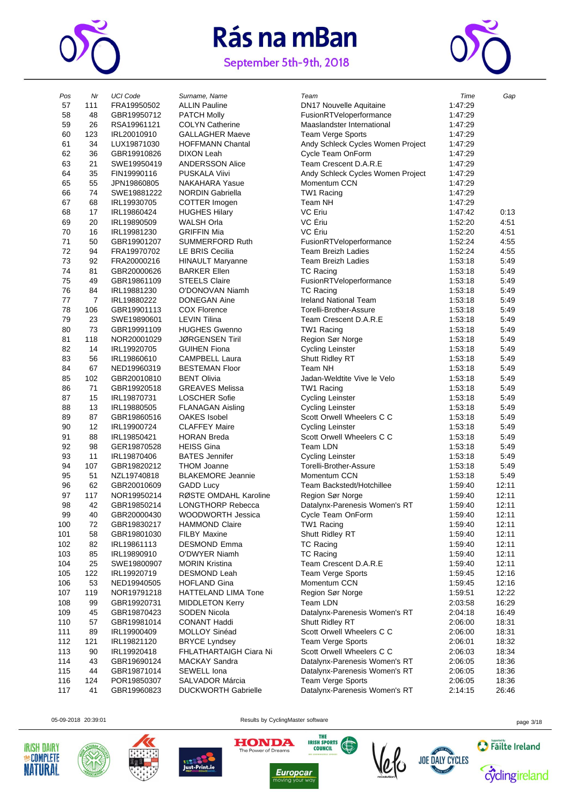

# Rás na mBan

September 5th-9th, 2018



| Pos | Nr             | <b>UCI Code</b> | Surname, Name              | Team                              | Time    | Gap   |
|-----|----------------|-----------------|----------------------------|-----------------------------------|---------|-------|
| 57  | 111            | FRA19950502     | <b>ALLIN Pauline</b>       | <b>DN17 Nouvelle Aquitaine</b>    | 1:47:29 |       |
| 58  | 48             | GBR19950712     | <b>PATCH Molly</b>         | FusionRTVeloperformance           | 1:47:29 |       |
| 59  | 26             | RSA19961121     | <b>COLYN Catherine</b>     | Maaslandster International        | 1:47:29 |       |
|     |                |                 |                            |                                   |         |       |
| 60  | 123            | IRL20010910     | <b>GALLAGHER Maeve</b>     | Team Verge Sports                 | 1:47:29 |       |
| 61  | 34             | LUX19871030     | <b>HOFFMANN Chantal</b>    | Andy Schleck Cycles Women Project | 1:47:29 |       |
| 62  | 36             | GBR19910826     | <b>DIXON Leah</b>          | Cycle Team OnForm                 | 1:47:29 |       |
| 63  | 21             | SWE19950419     | <b>ANDERSSON Alice</b>     | Team Crescent D.A.R.E             | 1:47:29 |       |
| 64  | 35             | FIN19990116     | <b>PUSKALA Viivi</b>       |                                   | 1:47:29 |       |
|     |                |                 |                            | Andy Schleck Cycles Women Project |         |       |
| 65  | 55             | JPN19860805     | NAKAHARA Yasue             | Momentum CCN                      | 1:47:29 |       |
| 66  | 74             | SWE19881222     | <b>NORDIN Gabriella</b>    | TW1 Racing                        | 1:47:29 |       |
| 67  | 68             | IRL19930705     | COTTER Imogen              | Team NH                           | 1:47:29 |       |
| 68  | 17             | IRL19860424     | <b>HUGHES Hilary</b>       | VC Eriu                           | 1:47:42 | 0:13  |
| 69  | 20             | IRL19890509     | <b>WALSH Orla</b>          | VC Ériu                           | 1:52:20 | 4:51  |
|     |                |                 |                            |                                   |         |       |
| 70  | 16             | IRL19981230     | <b>GRIFFIN Mia</b>         | VC Ériu                           | 1:52:20 | 4:51  |
| 71  | 50             | GBR19901207     | <b>SUMMERFORD Ruth</b>     | FusionRTVeloperformance           | 1:52:24 | 4:55  |
| 72  | 94             | FRA19970702     | LE BRIS Cecilia            | <b>Team Breizh Ladies</b>         | 1:52:24 | 4:55  |
| 73  | 92             | FRA20000216     | <b>HINAULT Maryanne</b>    | <b>Team Breizh Ladies</b>         | 1:53:18 | 5:49  |
| 74  | 81             | GBR20000626     | <b>BARKER Ellen</b>        | TC Racing                         | 1:53:18 | 5:49  |
|     |                |                 |                            |                                   |         |       |
| 75  | 49             | GBR19861109     | <b>STEELS Claire</b>       | FusionRTVeloperformance           | 1:53:18 | 5:49  |
| 76  | 84             | IRL19881230     | O'DONOVAN Niamh            | TC Racing                         | 1:53:18 | 5:49  |
| 77  | $\overline{7}$ | IRL19880222     | <b>DONEGAN Aine</b>        | Ireland National Team             | 1:53:18 | 5:49  |
| 78  | 106            | GBR19901113     | <b>COX Florence</b>        | Torelli-Brother-Assure            | 1:53:18 | 5:49  |
| 79  | 23             | SWE19890601     | <b>LEVIN Tilina</b>        | Team Crescent D.A.R.E             | 1:53:18 | 5:49  |
|     | 73             |                 | <b>HUGHES Gwenno</b>       |                                   |         |       |
| 80  |                | GBR19991109     |                            | TW1 Racing                        | 1:53:18 | 5:49  |
| 81  | 118            | NOR20001029     | <b>JØRGENSEN Tiril</b>     | Region Sør Norge                  | 1:53:18 | 5:49  |
| 82  | 14             | IRL19920705     | <b>GUIHEN Fiona</b>        | <b>Cycling Leinster</b>           | 1:53:18 | 5:49  |
| 83  | 56             | IRL19860610     | <b>CAMPBELL Laura</b>      | Shutt Ridley RT                   | 1:53:18 | 5:49  |
| 84  | 67             | NED19960319     | <b>BESTEMAN Floor</b>      | Team NH                           | 1:53:18 | 5:49  |
| 85  | 102            | GBR20010810     | <b>BENT Olivia</b>         | Jadan-Weldtite Vive le Velo       | 1:53:18 | 5:49  |
|     |                |                 |                            |                                   |         |       |
| 86  | 71             | GBR19920518     | <b>GREAVES Melissa</b>     | TW1 Racing                        | 1:53:18 | 5:49  |
| 87  | 15             | IRL19870731     | <b>LOSCHER Sofie</b>       | <b>Cycling Leinster</b>           | 1:53:18 | 5:49  |
| 88  | 13             | IRL19880505     | <b>FLANAGAN Aisling</b>    | <b>Cycling Leinster</b>           | 1:53:18 | 5:49  |
| 89  | 87             | GBR19860516     | <b>OAKES Isobel</b>        | Scott Orwell Wheelers C C         | 1:53:18 | 5:49  |
| 90  | 12             | IRL19900724     | <b>CLAFFEY Maire</b>       | <b>Cycling Leinster</b>           | 1:53:18 | 5:49  |
| 91  | 88             |                 | <b>HORAN Breda</b>         | Scott Orwell Wheelers C C         |         | 5:49  |
|     |                | IRL19850421     |                            |                                   | 1:53:18 |       |
| 92  | 98             | GER19870528     | <b>HEISS Gina</b>          | Team LDN                          | 1:53:18 | 5:49  |
| 93  | 11             | IRL19870406     | <b>BATES</b> Jennifer      | <b>Cycling Leinster</b>           | 1:53:18 | 5:49  |
| 94  | 107            | GBR19820212     | <b>THOM Joanne</b>         | Torelli-Brother-Assure            | 1:53:18 | 5:49  |
| 95  | 51             | NZL19740818     | <b>BLAKEMORE Jeannie</b>   | Momentum CCN                      | 1:53:18 | 5:49  |
| 96  | 62             | GBR20010609     | <b>GADD Lucy</b>           | Team Backstedt/Hotchillee         | 1:59:40 | 12:11 |
|     |                |                 | RØSTE OMDAHL Karoline      |                                   |         |       |
| 97  | 117            | NOR19950214     |                            | Region Sør Norge                  | 1:59:40 | 12:11 |
| 98  | 42             | GBR19850214     | <b>LONGTHORP Rebecca</b>   | Datalynx-Parenesis Women's RT     | 1:59:40 | 12:11 |
| 99  | 40             | GBR20000430     | WOODWORTH Jessica          | Cycle Team OnForm                 | 1:59:40 | 12:11 |
| 100 | 72             | GBR19830217     | <b>HAMMOND Claire</b>      | TW1 Racing                        | 1:59:40 | 12:11 |
| 101 | 58             | GBR19801030     | <b>FILBY Maxine</b>        | Shutt Ridley RT                   | 1:59:40 | 12:11 |
| 102 | 82             | IRL19861113     | <b>DESMOND Emma</b>        | TC Racing                         | 1:59:40 | 12:11 |
|     |                |                 |                            |                                   |         |       |
| 103 | 85             | IRL19890910     | O'DWYER Niamh              | <b>TC Racing</b>                  | 1:59:40 | 12:11 |
| 104 | 25             | SWE19800907     | <b>MORIN Kristina</b>      | Team Crescent D.A.R.E             | 1:59:40 | 12:11 |
| 105 | 122            | IRL19920719     | DESMOND Leah               | <b>Team Verge Sports</b>          | 1:59:45 | 12:16 |
| 106 | 53             | NED19940505     | <b>HOFLAND Gina</b>        | Momentum CCN                      | 1:59:45 | 12:16 |
| 107 | 119            | NOR19791218     | <b>HATTELAND LIMA Tone</b> | Region Sør Norge                  | 1:59:51 | 12:22 |
| 108 | 99             | GBR19920731     | <b>MIDDLETON Kerry</b>     | Team LDN                          | 2:03:58 | 16:29 |
|     |                |                 |                            |                                   |         |       |
| 109 | 45             | GBR19870423     | SODEN Nicola               | Datalynx-Parenesis Women's RT     | 2:04:18 | 16:49 |
| 110 | 57             | GBR19981014     | <b>CONANT Haddi</b>        | Shutt Ridley RT                   | 2:06:00 | 18:31 |
| 111 | 89             | IRL19900409     | MOLLOY Sinéad              | Scott Orwell Wheelers C C         | 2:06:00 | 18:31 |
| 112 | 121            | IRL19821120     | <b>BRYCE Lyndsey</b>       | <b>Team Verge Sports</b>          | 2:06:01 | 18:32 |
| 113 | 90             | IRL19920418     | FHLATHARTAIGH Ciara Ni     | Scott Orwell Wheelers C C         | 2:06:03 | 18:34 |
| 114 | 43             | GBR19690124     | <b>MACKAY Sandra</b>       | Datalynx-Parenesis Women's RT     | 2:06:05 | 18:36 |
|     |                |                 |                            |                                   |         |       |
| 115 | 44             | GBR19871014     | SEWELL Iona                | Datalynx-Parenesis Women's RT     | 2:06:05 | 18:36 |
| 116 | 124            | POR19850307     | SALVADOR Márcia            | <b>Team Verge Sports</b>          | 2:06:05 | 18:36 |
| 117 | 41             | GBR19960823     | <b>DUCKWORTH Gabrielle</b> | Datalynx-Parenesis Women's RT     | 2:14:15 | 26:46 |







THE

**IRISH SPORTS** 





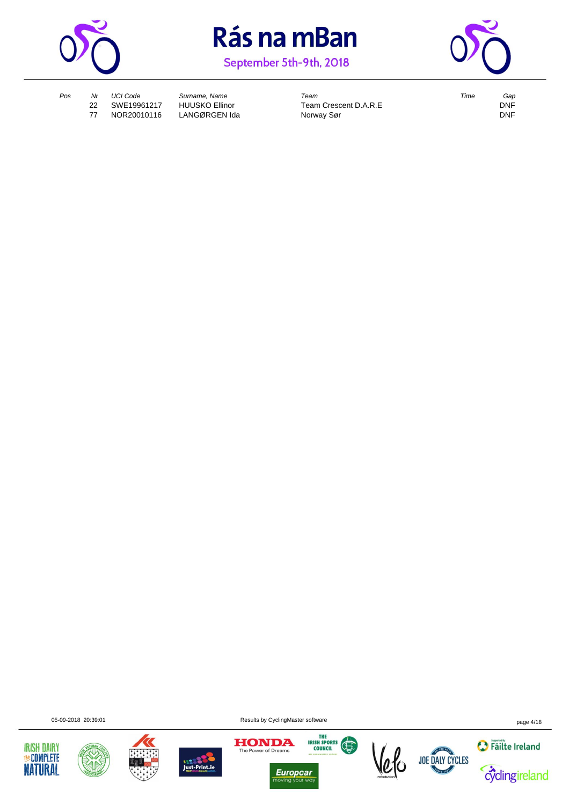



September 5th-9th, 2018



77 NOR20010116 LANGØRGEN Ida Norway Sør

*Pos Nr UCI Code Surname, Name Team Time Gap* 22 Team Crescent D.A.R.E DNF<br>22 Norway Sør DNF

05-09-2018 20:39:01 Results by CyclingMaster software page 4/18













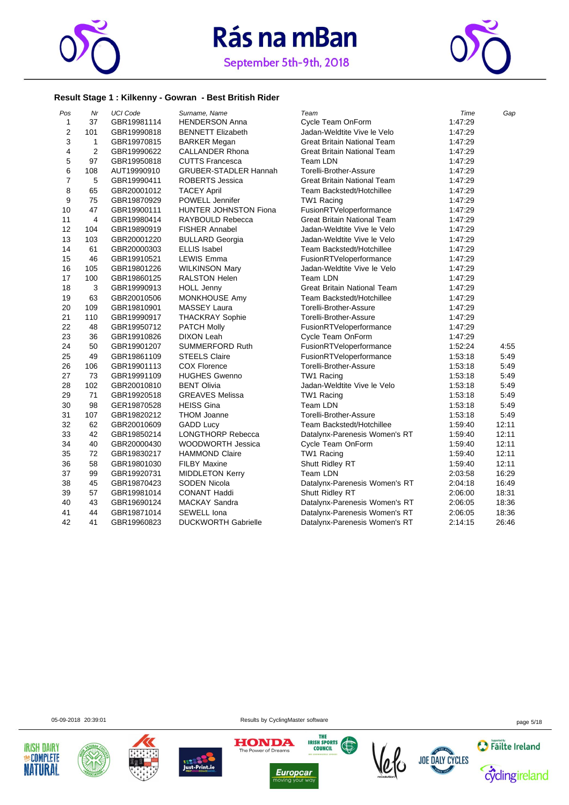



#### **Result Stage 1 : Kilkenny - Gowran - Best British Rider**

| Pos            | Nr             | <b>UCI Code</b> | Surname, Name                | Team                               | Time    | Gap   |
|----------------|----------------|-----------------|------------------------------|------------------------------------|---------|-------|
| $\mathbf{1}$   | 37             | GBR19981114     | <b>HENDERSON Anna</b>        | Cycle Team OnForm                  | 1:47:29 |       |
| $\mathbf 2$    | 101            | GBR19990818     | <b>BENNETT Elizabeth</b>     | Jadan-Weldtite Vive le Velo        | 1:47:29 |       |
| 3              | $\mathbf{1}$   | GBR19970815     | <b>BARKER Megan</b>          | <b>Great Britain National Team</b> | 1:47:29 |       |
| 4              | $\overline{2}$ | GBR19990622     | <b>CALLANDER Rhona</b>       | <b>Great Britain National Team</b> | 1.47.29 |       |
| 5              | 97             | GBR19950818     | <b>CUTTS Francesca</b>       | Team LDN                           | 1:47:29 |       |
| 6              | 108            | AUT19990910     | <b>GRUBER-STADLER Hannah</b> | Torelli-Brother-Assure             | 1:47:29 |       |
| $\overline{7}$ | 5              | GBR19990411     | ROBERTS Jessica              | <b>Great Britain National Team</b> | 1:47:29 |       |
| 8              | 65             | GBR20001012     | <b>TACEY April</b>           | Team Backstedt/Hotchillee          | 1:47:29 |       |
| 9              | 75             | GBR19870929     | POWELL Jennifer              | TW1 Racing                         | 1:47:29 |       |
| 10             | 47             | GBR19900111     | <b>HUNTER JOHNSTON Fiona</b> | FusionRTVeloperformance            | 1.47.29 |       |
| 11             | $\overline{4}$ | GBR19980414     | RAYBOULD Rebecca             | <b>Great Britain National Team</b> | 1:47:29 |       |
| 12             | 104            | GBR19890919     | <b>FISHER Annabel</b>        | Jadan-Weldtite Vive le Velo        | 1.47.29 |       |
| 13             | 103            | GBR20001220     | <b>BULLARD Georgia</b>       | Jadan-Weldtite Vive le Velo        | 1.47.29 |       |
| 14             | 61             | GBR20000303     | <b>ELLIS Isabel</b>          | Team Backstedt/Hotchillee          | 1:47:29 |       |
| 15             | 46             | GBR19910521     | <b>LEWIS Emma</b>            | FusionRTVeloperformance            | 1.47.29 |       |
| 16             | 105            | GBR19801226     | <b>WILKINSON Mary</b>        | Jadan-Weldtite Vive le Velo        | 1:47:29 |       |
| 17             | 100            | GBR19860125     | <b>RALSTON Helen</b>         | Team LDN                           | 1:47:29 |       |
| 18             | 3              | GBR19990913     | <b>HOLL Jenny</b>            | Great Britain National Team        | 1.47.29 |       |
| 19             | 63             | GBR20010506     | MONKHOUSE Amy                | Team Backstedt/Hotchillee          | 1:47:29 |       |
| 20             | 109            | GBR19810901     | MASSEY Laura                 | Torelli-Brother-Assure             | 1:47:29 |       |
| 21             | 110            | GBR19990917     | <b>THACKRAY Sophie</b>       | Torelli-Brother-Assure             | 1:47:29 |       |
| 22             | 48             | GBR19950712     | <b>PATCH Molly</b>           | FusionRTVeloperformance            | 1:47:29 |       |
| 23             | 36             | GBR19910826     | <b>DIXON Leah</b>            | Cycle Team OnForm                  | 1:47:29 |       |
| 24             | 50             | GBR19901207     | <b>SUMMERFORD Ruth</b>       | FusionRTVeloperformance            | 1:52:24 | 4:55  |
| 25             | 49             | GBR19861109     | <b>STEELS Claire</b>         | FusionRTVeloperformance            | 1:53:18 | 5:49  |
| 26             | 106            | GBR19901113     | <b>COX Florence</b>          | Torelli-Brother-Assure             | 1:53:18 | 5:49  |
| 27             | 73             | GBR19991109     | <b>HUGHES Gwenno</b>         | TW1 Racing                         | 1:53:18 | 5:49  |
| 28             | 102            | GBR20010810     | <b>BENT Olivia</b>           | Jadan-Weldtite Vive le Velo        | 1:53:18 | 5:49  |
| 29             | 71             | GBR19920518     | <b>GREAVES Melissa</b>       | TW1 Racing                         | 1:53:18 | 5:49  |
| 30             | 98             | GER19870528     | <b>HEISS Gina</b>            | Team LDN                           | 1:53:18 | 5.49  |
| 31             | 107            | GBR19820212     | <b>THOM Joanne</b>           | Torelli-Brother-Assure             | 1:53:18 | 5:49  |
| 32             | 62             | GBR20010609     | <b>GADD Lucy</b>             | Team Backstedt/Hotchillee          | 1:59:40 | 12:11 |
| 33             | 42             | GBR19850214     | <b>LONGTHORP Rebecca</b>     | Datalynx-Parenesis Women's RT      | 1:59:40 | 12:11 |
| 34             | 40             | GBR20000430     | WOODWORTH Jessica            | Cycle Team OnForm                  | 1:59:40 | 12:11 |
| 35             | 72             | GBR19830217     | <b>HAMMOND Claire</b>        | TW1 Racing                         | 1:59:40 | 12:11 |
| 36             | 58             | GBR19801030     | <b>FILBY Maxine</b>          | Shutt Ridley RT                    | 1:59:40 | 12:11 |
| 37             | 99             | GBR19920731     | <b>MIDDLETON Kerry</b>       | Team LDN                           | 2:03:58 | 16:29 |
| 38             | 45             | GBR19870423     | SODEN Nicola                 | Datalynx-Parenesis Women's RT      | 2:04:18 | 16:49 |
| 39             | 57             | GBR19981014     | <b>CONANT Haddi</b>          | Shutt Ridley RT                    | 2:06:00 | 18:31 |
| 40             | 43             | GBR19690124     | <b>MACKAY Sandra</b>         | Datalynx-Parenesis Women's RT      | 2:06:05 | 18:36 |
| 41             | 44             | GBR19871014     | SEWELL Iona                  | Datalynx-Parenesis Women's RT      | 2:06:05 | 18:36 |
| 42             | 41             | GBR19960823     | <b>DUCKWORTH Gabrielle</b>   | Datalynx-Parenesis Women's RT      | 2:14:15 | 26:46 |

05-09-2018 20:39:01 Results by CyclingMaster software page 5/18











*Europcar*<br>moving your way  $\frac{1}{10}$ 



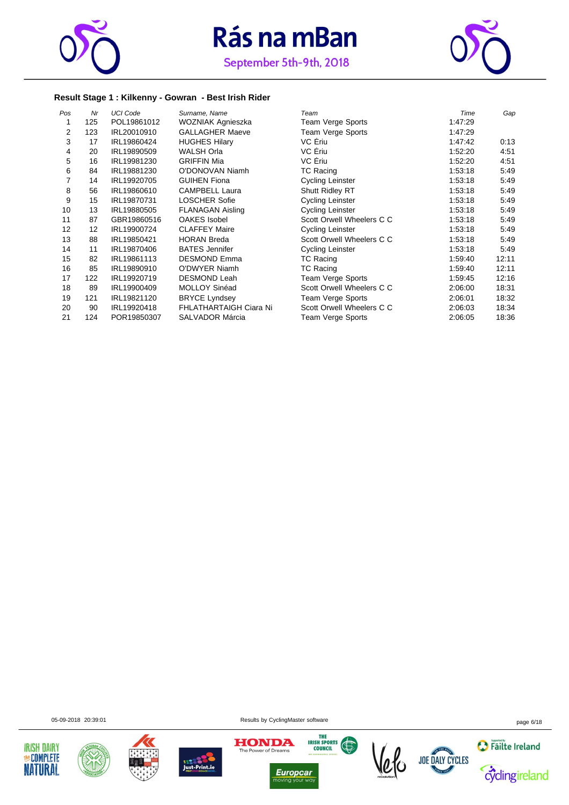



#### **Result Stage 1 : Kilkenny - Gowran - Best Irish Rider**

| Pos            | Nr  | <b>UCI Code</b> | Surname, Name                 | Team                      | Time    | Gap   |
|----------------|-----|-----------------|-------------------------------|---------------------------|---------|-------|
|                | 125 | POL19861012     | WOZNIAK Agnieszka             | Team Verge Sports         | 1:47:29 |       |
| $\overline{2}$ | 123 | IRL20010910     | <b>GALLAGHER Maeve</b>        | Team Verge Sports         | 1:47:29 |       |
| 3              | 17  | IRL19860424     | <b>HUGHES Hilary</b>          | VC Eriu                   | 1:47:42 | 0:13  |
| 4              | 20  | IRL19890509     | <b>WALSH Orla</b>             | VC Eriu                   | 1:52:20 | 4:51  |
| 5              | 16  | IRL19981230     | <b>GRIFFIN Mia</b>            | VC Ériu                   | 1:52:20 | 4:51  |
| 6              | 84  | IRL19881230     | O'DONOVAN Niamh               | <b>TC Racing</b>          | 1:53:18 | 5:49  |
| 7              | 14  | IRL19920705     | <b>GUIHEN Fiona</b>           | <b>Cycling Leinster</b>   | 1:53:18 | 5:49  |
| 8              | 56  | IRL19860610     | <b>CAMPBELL Laura</b>         | <b>Shutt Ridley RT</b>    | 1:53:18 | 5:49  |
| 9              | 15  | IRL19870731     | <b>LOSCHER Sofie</b>          | <b>Cycling Leinster</b>   | 1:53:18 | 5:49  |
| 10             | 13  | IRL19880505     | <b>FLANAGAN Aisling</b>       | <b>Cycling Leinster</b>   | 1:53:18 | 5:49  |
| 11             | 87  | GBR19860516     | <b>OAKES</b> Isobel           | Scott Orwell Wheelers C C | 1:53:18 | 5:49  |
| 12             | 12  | IRL19900724     | <b>CLAFFEY Maire</b>          | Cycling Leinster          | 1:53:18 | 5:49  |
| 13             | 88  | IRL19850421     | <b>HORAN Breda</b>            | Scott Orwell Wheelers C C | 1:53:18 | 5:49  |
| 14             | 11  | IRL19870406     | <b>BATES Jennifer</b>         | <b>Cycling Leinster</b>   | 1:53:18 | 5:49  |
| 15             | 82  | IRL19861113     | <b>DESMOND Emma</b>           | TC Racing                 | 1:59:40 | 12:11 |
| 16             | 85  | IRL19890910     | <b>O'DWYER Niamh</b>          | <b>TC Racing</b>          | 1:59:40 | 12:11 |
| 17             | 122 | IRL19920719     | <b>DESMOND Leah</b>           | Team Verge Sports         | 1:59:45 | 12:16 |
| 18             | 89  | IRL19900409     | <b>MOLLOY Sinéad</b>          | Scott Orwell Wheelers C C | 2:06:00 | 18:31 |
| 19             | 121 | IRL19821120     | <b>BRYCE Lyndsey</b>          | Team Verge Sports         | 2:06:01 | 18:32 |
| 20             | 90  | IRL19920418     | <b>FHLATHARTAIGH Ciara Ni</b> | Scott Orwell Wheelers C C | 2:06:03 | 18:34 |
| 21             | 124 | POR19850307     | <b>SALVADOR Márcia</b>        | Team Verge Sports         | 2:06:05 | 18:36 |







05-09-2018 20:39:01 Results by CyclingMaster software page 6/18





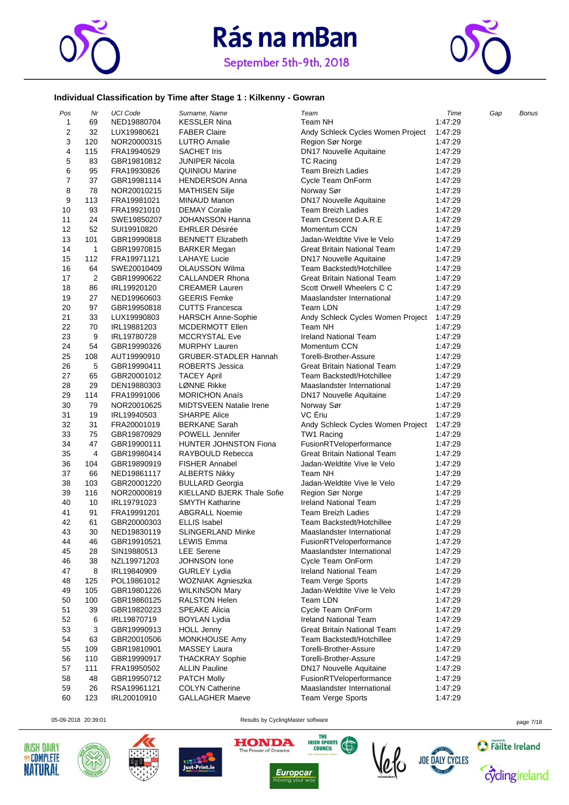



#### **Individual Classification by Time after Stage 1 : Kilkenny - Gowran**

| Pos            | Nr  | <b>UCI Code</b> | Surname, Name                     | Team                                                            | Time    | Gap | Bonus |
|----------------|-----|-----------------|-----------------------------------|-----------------------------------------------------------------|---------|-----|-------|
| 1              | 69  | NED19880704     | <b>KESSLER Nina</b>               | Team NH                                                         | 1:47:29 |     |       |
| $\overline{2}$ | 32  | LUX19980621     | <b>FABER Claire</b>               | Andy Schleck Cycles Women Project                               | 1:47:29 |     |       |
| 3              | 120 | NOR20000315     | <b>LUTRO Amalie</b>               | Region Sør Norge                                                | 1:47:29 |     |       |
| 4              | 115 | FRA19940529     | <b>SACHET Iris</b>                | DN17 Nouvelle Aquitaine                                         | 1:47:29 |     |       |
| 5              | 83  | GBR19810812     | JUNIPER Nicola                    | <b>TC Racing</b>                                                | 1:47:29 |     |       |
| 6              | 95  | FRA19930826     | <b>QUINIOU Marine</b>             | <b>Team Breizh Ladies</b>                                       | 1:47:29 |     |       |
| $\overline{7}$ | 37  | GBR19981114     | <b>HENDERSON Anna</b>             | Cycle Team OnForm                                               | 1:47:29 |     |       |
| 8              | 78  | NOR20010215     | <b>MATHISEN Silje</b>             | Norway Sør                                                      | 1:47:29 |     |       |
| 9              | 113 | FRA19981021     | MINAUD Manon                      | DN17 Nouvelle Aquitaine                                         | 1:47:29 |     |       |
| 10             | 93  | FRA19921010     | <b>DEMAY Coralie</b>              | <b>Team Breizh Ladies</b>                                       | 1:47:29 |     |       |
| 11             | 24  | SWE19850207     | <b>JOHANSSON Hanna</b>            | Team Crescent D.A.R.E                                           | 1:47:29 |     |       |
| 12             | 52  | SUI19910820     | <b>EHRLER Désirée</b>             | Momentum CCN                                                    | 1:47:29 |     |       |
| 13             | 101 | GBR19990818     | <b>BENNETT Elizabeth</b>          | Jadan-Weldtite Vive le Velo                                     | 1:47:29 |     |       |
| 14             | 1   | GBR19970815     | <b>BARKER Megan</b>               | Great Britain National Team                                     | 1:47:29 |     |       |
| 15             | 112 | FRA19971121     | <b>LAHAYE Lucie</b>               | <b>DN17 Nouvelle Aquitaine</b>                                  | 1:47:29 |     |       |
| 16             | 64  | SWE20010409     | <b>OLAUSSON Wilma</b>             | Team Backstedt/Hotchillee                                       | 1:47:29 |     |       |
| 17             | 2   | GBR19990622     | <b>CALLANDER Rhona</b>            | Great Britain National Team                                     | 1:47:29 |     |       |
| 18             | 86  | IRL19920120     | <b>CREAMER Lauren</b>             | Scott Orwell Wheelers C C                                       | 1:47:29 |     |       |
| 19             | 27  | NED19960603     | <b>GEERIS Femke</b>               | Maaslandster International                                      | 1:47:29 |     |       |
| 20             | 97  | GBR19950818     | <b>CUTTS Francesca</b>            | Team LDN                                                        | 1:47:29 |     |       |
| 21             | 33  | LUX19990803     | <b>HARSCH Anne-Sophie</b>         | Andy Schleck Cycles Women Project                               | 1:47:29 |     |       |
| 22             | 70  | IRL19881203     | MCDERMOTT Ellen                   | Team NH                                                         | 1:47:29 |     |       |
|                |     |                 | <b>MCCRYSTAL Eve</b>              |                                                                 |         |     |       |
| 23             | 9   | IRL19780728     |                                   | <b>Ireland National Team</b>                                    | 1:47:29 |     |       |
| 24             | 54  | GBR19990326     | <b>MURPHY Lauren</b>              | Momentum CCN                                                    | 1:47:29 |     |       |
| 25             | 108 | AUT19990910     | GRUBER-STADLER Hannah             | Torelli-Brother-Assure                                          | 1:47:29 |     |       |
| 26             | 5   | GBR19990411     | <b>ROBERTS Jessica</b>            | <b>Great Britain National Team</b><br>Team Backstedt/Hotchillee | 1:47:29 |     |       |
| 27             | 65  | GBR20001012     | <b>TACEY April</b>                |                                                                 | 1:47:29 |     |       |
| 28             | 29  | DEN19880303     | LØNNE Rikke                       | Maaslandster International                                      | 1:47:29 |     |       |
| 29             | 114 | FRA19991006     | <b>MORICHON Anaïs</b>             | DN17 Nouvelle Aquitaine                                         | 1:47:29 |     |       |
| 30             | 79  | NOR20010625     | <b>MIDTSVEEN Natalie Irene</b>    | Norway Sør                                                      | 1:47:29 |     |       |
| 31             | 19  | IRL19940503     | <b>SHARPE Alice</b>               | VC Eriu                                                         | 1:47:29 |     |       |
| 32             | 31  | FRA20001019     | <b>BERKANE Sarah</b>              | Andy Schleck Cycles Women Project                               | 1:47:29 |     |       |
| 33             | 75  | GBR19870929     | POWELL Jennifer                   | TW1 Racing                                                      | 1:47:29 |     |       |
| 34             | 47  | GBR19900111     | <b>HUNTER JOHNSTON Fiona</b>      | FusionRTVeloperformance                                         | 1:47:29 |     |       |
| 35             | 4   | GBR19980414     | RAYBOULD Rebecca                  | Great Britain National Team                                     | 1:47:29 |     |       |
| 36             | 104 | GBR19890919     | FISHER Annabel                    | Jadan-Weldtite Vive le Velo                                     | 1:47:29 |     |       |
| 37             | 66  | NED19861117     | <b>ALBERTS Nikky</b>              | Team NH                                                         | 1:47:29 |     |       |
| 38             | 103 | GBR20001220     | <b>BULLARD Georgia</b>            | Jadan-Weldtite Vive le Velo                                     | 1:47:29 |     |       |
| 39             | 116 | NOR20000819     | <b>KIELLAND BJERK Thale Sofie</b> | Region Sør Norge                                                | 1:47:29 |     |       |
| 40             | 10  | IRL19791023     | <b>SMYTH Katharine</b>            | <b>Ireland National Team</b>                                    | 1:47:29 |     |       |
| 41             | 91  | FRA19991201     | <b>ABGRALL Noemie</b>             | <b>Team Breizh Ladies</b>                                       | 1:47:29 |     |       |
| 42             | 61  | GBR20000303     | <b>ELLIS Isabel</b>               | Team Backstedt/Hotchillee                                       | 1:47:29 |     |       |
| 43             | 30  | NED19830119     | SLINGERLAND Minke                 | Maaslandster International                                      | 1:47:29 |     |       |
| 44             | 46  | GBR19910521     | <b>LEWIS Emma</b>                 | FusionRTVeloperformance                                         | 1:47:29 |     |       |
| 45             | 28  | SIN19880513     | <b>LEE</b> Serene                 | Maaslandster International                                      | 1:47:29 |     |       |
| 46             | 38  | NZL19971203     | JOHNSON lone                      | Cycle Team OnForm                                               | 1:47:29 |     |       |
| 47             | 8   | IRL19840909     | <b>GURLEY Lydia</b>               | <b>Ireland National Team</b>                                    | 1:47:29 |     |       |
| 48             | 125 | POL19861012     | WOZNIAK Agnieszka                 | <b>Team Verge Sports</b>                                        | 1:47:29 |     |       |
| 49             | 105 | GBR19801226     | <b>WILKINSON Mary</b>             | Jadan-Weldtite Vive le Velo                                     | 1:47:29 |     |       |
| 50             | 100 | GBR19860125     | <b>RALSTON Helen</b>              | Team LDN                                                        | 1:47:29 |     |       |
| 51             | 39  | GBR19820223     | <b>SPEAKE Alicia</b>              | Cycle Team OnForm                                               | 1:47:29 |     |       |
| 52             | 6   | IRL19870719     | <b>BOYLAN Lydia</b>               | <b>Ireland National Team</b>                                    | 1:47:29 |     |       |
| 53             | 3   | GBR19990913     | <b>HOLL Jenny</b>                 | Great Britain National Team                                     | 1:47:29 |     |       |
| 54             | 63  | GBR20010506     | MONKHOUSE Amy                     | Team Backstedt/Hotchillee                                       | 1:47:29 |     |       |
| 55             | 109 | GBR19810901     | <b>MASSEY Laura</b>               | Torelli-Brother-Assure                                          | 1:47:29 |     |       |
| 56             | 110 | GBR19990917     | <b>THACKRAY Sophie</b>            | Torelli-Brother-Assure                                          | 1:47:29 |     |       |
| 57             | 111 | FRA19950502     | <b>ALLIN Pauline</b>              | <b>DN17 Nouvelle Aquitaine</b>                                  | 1:47:29 |     |       |
| 58             | 48  | GBR19950712     | <b>PATCH Molly</b>                | FusionRTVeloperformance                                         | 1:47:29 |     |       |
| 59             | 26  | RSA19961121     | <b>COLYN Catherine</b>            | Maaslandster International                                      | 1:47:29 |     |       |
| 60             | 123 | IRL20010910     | <b>GALLAGHER Maeve</b>            | <b>Team Verge Sports</b>                                        | 1:47:29 |     |       |
|                |     |                 |                                   |                                                                 |         |     |       |











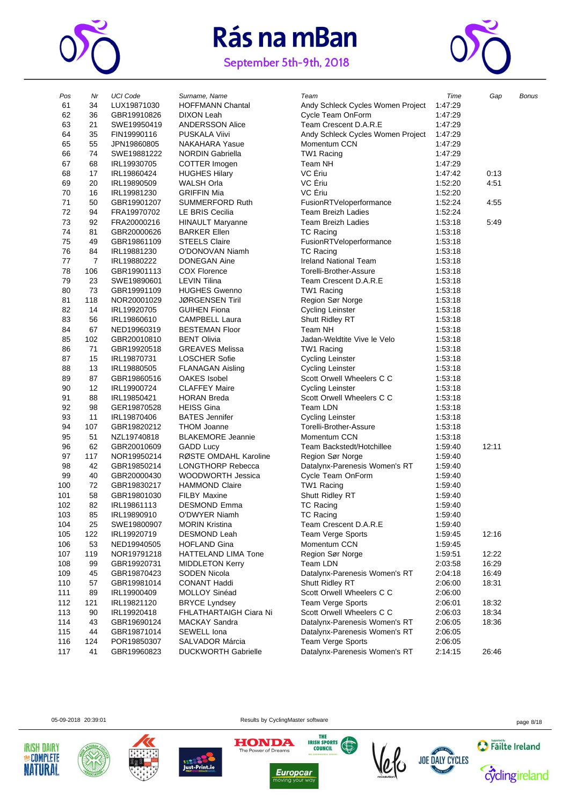

# Rás na mBan

September 5th-9th, 2018



| Pos | Nr             | <b>UCI Code</b> | Surname, Name              | Team                              | Time    | Gap   | <b>Bonus</b> |
|-----|----------------|-----------------|----------------------------|-----------------------------------|---------|-------|--------------|
| 61  | 34             | LUX19871030     | <b>HOFFMANN Chantal</b>    | Andy Schleck Cycles Women Project | 1:47:29 |       |              |
| 62  | 36             | GBR19910826     | DIXON Leah                 | Cycle Team OnForm                 | 1:47:29 |       |              |
| 63  | 21             | SWE19950419     | <b>ANDERSSON Alice</b>     | Team Crescent D.A.R.E             | 1:47:29 |       |              |
| 64  | 35             | FIN19990116     | <b>PUSKALA Viivi</b>       | Andy Schleck Cycles Women Project | 1:47:29 |       |              |
| 65  | 55             | JPN19860805     | <b>NAKAHARA Yasue</b>      | Momentum CCN                      | 1:47:29 |       |              |
| 66  | 74             | SWE19881222     | <b>NORDIN Gabriella</b>    | TW1 Racing                        | 1:47:29 |       |              |
| 67  | 68             | IRL19930705     | COTTER Imogen              | Team NH                           | 1:47:29 |       |              |
| 68  | 17             | IRL19860424     | <b>HUGHES Hilary</b>       | VC Eriu                           | 1:47:42 | 0:13  |              |
| 69  | 20             | IRL19890509     | WALSH Orla                 | VC Ériu                           | 1:52:20 | 4:51  |              |
| 70  | 16             | IRL19981230     | <b>GRIFFIN Mia</b>         | VC Eriu                           | 1:52:20 |       |              |
| 71  | 50             | GBR19901207     | <b>SUMMERFORD Ruth</b>     | FusionRTVeloperformance           | 1:52:24 | 4:55  |              |
| 72  | 94             | FRA19970702     | LE BRIS Cecilia            | <b>Team Breizh Ladies</b>         | 1:52:24 |       |              |
| 73  | 92             | FRA20000216     | <b>HINAULT Maryanne</b>    | <b>Team Breizh Ladies</b>         | 1:53:18 | 5:49  |              |
| 74  | 81             | GBR20000626     | <b>BARKER Ellen</b>        | <b>TC Racing</b>                  | 1:53:18 |       |              |
| 75  | 49             |                 | <b>STEELS Claire</b>       |                                   | 1:53:18 |       |              |
|     |                | GBR19861109     |                            | FusionRTVeloperformance           |         |       |              |
| 76  | 84             | IRL19881230     | O'DONOVAN Niamh            | TC Racing                         | 1:53:18 |       |              |
| 77  | $\overline{7}$ | IRL19880222     | <b>DONEGAN Aine</b>        | <b>Ireland National Team</b>      | 1:53:18 |       |              |
| 78  | 106            | GBR19901113     | <b>COX Florence</b>        | Torelli-Brother-Assure            | 1:53:18 |       |              |
| 79  | 23             | SWE19890601     | LEVIN Tilina               | Team Crescent D.A.R.E             | 1:53:18 |       |              |
| 80  | 73             | GBR19991109     | <b>HUGHES Gwenno</b>       | TW1 Racing                        | 1:53:18 |       |              |
| 81  | 118            | NOR20001029     | <b>JØRGENSEN Tiril</b>     | Region Sør Norge                  | 1:53:18 |       |              |
| 82  | 14             | IRL19920705     | <b>GUIHEN Fiona</b>        | <b>Cycling Leinster</b>           | 1:53:18 |       |              |
| 83  | 56             | IRL19860610     | <b>CAMPBELL Laura</b>      | Shutt Ridley RT                   | 1:53:18 |       |              |
| 84  | 67             | NED19960319     | <b>BESTEMAN Floor</b>      | Team NH                           | 1:53:18 |       |              |
| 85  | 102            | GBR20010810     | <b>BENT Olivia</b>         | Jadan-Weldtite Vive le Velo       | 1:53:18 |       |              |
| 86  | 71             | GBR19920518     | <b>GREAVES Melissa</b>     | TW1 Racing                        | 1:53:18 |       |              |
| 87  | 15             | IRL19870731     | <b>LOSCHER Sofie</b>       | <b>Cycling Leinster</b>           | 1:53:18 |       |              |
| 88  | 13             | IRL19880505     | <b>FLANAGAN Aisling</b>    | <b>Cycling Leinster</b>           | 1:53:18 |       |              |
| 89  | 87             | GBR19860516     | OAKES Isobel               | Scott Orwell Wheelers C C         | 1:53:18 |       |              |
| 90  | 12             | IRL19900724     | <b>CLAFFEY Maire</b>       | <b>Cycling Leinster</b>           | 1:53:18 |       |              |
| 91  | 88             | IRL19850421     | <b>HORAN Breda</b>         | Scott Orwell Wheelers C C         | 1:53:18 |       |              |
| 92  | 98             | GER19870528     | <b>HEISS Gina</b>          | Team LDN                          | 1:53:18 |       |              |
| 93  | 11             | IRL19870406     | <b>BATES</b> Jennifer      | <b>Cycling Leinster</b>           | 1:53:18 |       |              |
| 94  | 107            | GBR19820212     | <b>THOM Joanne</b>         | Torelli-Brother-Assure            | 1:53:18 |       |              |
| 95  | 51             | NZL19740818     | <b>BLAKEMORE Jeannie</b>   | Momentum CCN                      | 1:53:18 |       |              |
| 96  | 62             | GBR20010609     | <b>GADD Lucy</b>           | Team Backstedt/Hotchillee         | 1:59:40 | 12:11 |              |
| 97  | 117            | NOR19950214     | RØSTE OMDAHL Karoline      | Region Sør Norge                  | 1:59:40 |       |              |
| 98  | 42             | GBR19850214     | <b>LONGTHORP Rebecca</b>   | Datalynx-Parenesis Women's RT     | 1:59:40 |       |              |
| 99  | 40             | GBR20000430     | WOODWORTH Jessica          | Cycle Team OnForm                 | 1:59:40 |       |              |
| 100 | 72             | GBR19830217     | <b>HAMMOND Claire</b>      | TW1 Racing                        | 1:59:40 |       |              |
| 101 | 58             | GBR19801030     | <b>FILBY Maxine</b>        | Shutt Ridley RT                   | 1:59:40 |       |              |
| 102 | 82             | IRL19861113     | <b>DESMOND Emma</b>        | TC Racing                         | 1:59:40 |       |              |
| 103 | 85             | IRL19890910     | O'DWYER Niamh              | TC Racing                         | 1:59:40 |       |              |
|     |                |                 | <b>MORIN Kristina</b>      | Team Crescent D.A.R.E             |         |       |              |
| 104 | 25             | SWE19800907     |                            |                                   | 1:59:40 |       |              |
| 105 | 122            | IRL19920719     | <b>DESMOND Leah</b>        | <b>Team Verge Sports</b>          | 1:59:45 | 12:16 |              |
| 106 | 53             | NED19940505     | <b>HOFLAND Gina</b>        | Momentum CCN                      | 1:59:45 |       |              |
| 107 | 119            | NOR19791218     | HATTELAND LIMA Tone        | Region Sør Norge                  | 1:59:51 | 12:22 |              |
| 108 | 99             | GBR19920731     | <b>MIDDLETON Kerry</b>     | Team LDN                          | 2:03:58 | 16:29 |              |
| 109 | 45             | GBR19870423     | SODEN Nicola               | Datalynx-Parenesis Women's RT     | 2:04:18 | 16:49 |              |
| 110 | 57             | GBR19981014     | <b>CONANT Haddi</b>        | Shutt Ridley RT                   | 2:06:00 | 18:31 |              |
| 111 | 89             | IRL19900409     | MOLLOY Sinéad              | Scott Orwell Wheelers C C         | 2:06:00 |       |              |
| 112 | 121            | IRL19821120     | <b>BRYCE Lyndsey</b>       | Team Verge Sports                 | 2:06:01 | 18:32 |              |
| 113 | 90             | IRL19920418     | FHLATHARTAIGH Ciara Ni     | Scott Orwell Wheelers C C         | 2:06:03 | 18:34 |              |
| 114 | 43             | GBR19690124     | <b>MACKAY Sandra</b>       | Datalynx-Parenesis Women's RT     | 2:06:05 | 18:36 |              |
| 115 | 44             | GBR19871014     | SEWELL Iona                | Datalynx-Parenesis Women's RT     | 2:06:05 |       |              |
| 116 | 124            | POR19850307     | SALVADOR Márcia            | Team Verge Sports                 | 2:06:05 |       |              |
| 117 | 41             | GBR19960823     | <b>DUCKWORTH Gabrielle</b> | Datalynx-Parenesis Women's RT     | 2:14:15 | 26:46 |              |
|     |                |                 |                            |                                   |         |       |              |





05-09-2018 20:39:01 Results by CyclingMaster software page 8/18

THE

**IRISH SPORTS** 





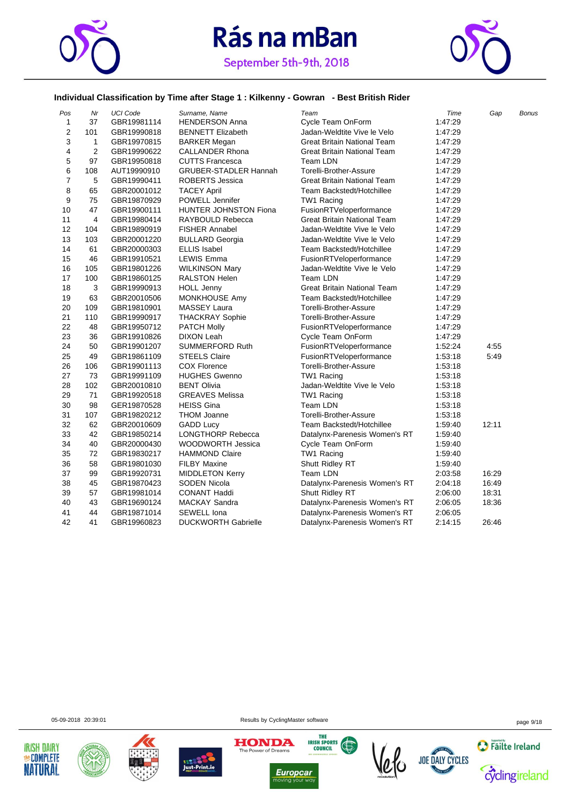



#### **Individual Classification by Time after Stage 1 : Kilkenny - Gowran - Best British Rider**

| Pos            | Nr             | <b>UCI Code</b> | Surname, Name                | Team                               | Time    | Gap   | <b>Bonus</b> |
|----------------|----------------|-----------------|------------------------------|------------------------------------|---------|-------|--------------|
| $\mathbf{1}$   | 37             | GBR19981114     | <b>HENDERSON Anna</b>        | Cycle Team OnForm                  | 1:47:29 |       |              |
| 2              | 101            | GBR19990818     | <b>BENNETT Elizabeth</b>     | Jadan-Weldtite Vive le Velo        | 1:47:29 |       |              |
| 3              | 1              | GBR19970815     | <b>BARKER Megan</b>          | <b>Great Britain National Team</b> | 1:47:29 |       |              |
| 4              | $\overline{2}$ | GBR19990622     | <b>CALLANDER Rhona</b>       | Great Britain National Team        | 1:47:29 |       |              |
| 5              | 97             | GBR19950818     | <b>CUTTS Francesca</b>       | Team LDN                           | 1:47:29 |       |              |
| 6              | 108            | AUT19990910     | <b>GRUBER-STADLER Hannah</b> | Torelli-Brother-Assure             | 1:47:29 |       |              |
| $\overline{7}$ | 5              | GBR19990411     | <b>ROBERTS Jessica</b>       | <b>Great Britain National Team</b> | 1:47:29 |       |              |
| 8              | 65             | GBR20001012     | <b>TACEY April</b>           | Team Backstedt/Hotchillee          | 1:47:29 |       |              |
| 9              | 75             | GBR19870929     | POWELL Jennifer              | TW1 Racing                         | 1:47:29 |       |              |
| 10             | 47             | GBR19900111     | <b>HUNTER JOHNSTON Fiona</b> | FusionRTVeloperformance            | 1:47:29 |       |              |
| 11             | 4              | GBR19980414     | RAYBOULD Rebecca             | <b>Great Britain National Team</b> | 1:47:29 |       |              |
| 12             | 104            | GBR19890919     | <b>FISHER Annabel</b>        | Jadan-Weldtite Vive le Velo        | 1:47:29 |       |              |
| 13             | 103            | GBR20001220     | <b>BULLARD Georgia</b>       | Jadan-Weldtite Vive le Velo        | 1:47:29 |       |              |
| 14             | 61             | GBR20000303     | <b>ELLIS Isabel</b>          | Team Backstedt/Hotchillee          | 1:47:29 |       |              |
| 15             | 46             | GBR19910521     | <b>LEWIS Emma</b>            | FusionRTVeloperformance            | 1:47:29 |       |              |
| 16             | 105            | GBR19801226     | <b>WILKINSON Mary</b>        | Jadan-Weldtite Vive le Velo        | 1:47:29 |       |              |
| 17             | 100            | GBR19860125     | <b>RALSTON Helen</b>         | Team LDN                           | 1:47:29 |       |              |
| 18             | 3              | GBR19990913     | <b>HOLL Jenny</b>            | Great Britain National Team        | 1:47:29 |       |              |
| 19             | 63             | GBR20010506     | MONKHOUSE Amy                | Team Backstedt/Hotchillee          | 1:47:29 |       |              |
| 20             | 109            | GBR19810901     | <b>MASSEY Laura</b>          | Torelli-Brother-Assure             | 1:47:29 |       |              |
| 21             | 110            | GBR19990917     | <b>THACKRAY Sophie</b>       | Torelli-Brother-Assure             | 1:47:29 |       |              |
| 22             | 48             | GBR19950712     | <b>PATCH Molly</b>           | FusionRTVeloperformance            | 1:47:29 |       |              |
| 23             | 36             | GBR19910826     | <b>DIXON Leah</b>            | Cycle Team OnForm                  | 1:47:29 |       |              |
| 24             | 50             | GBR19901207     | <b>SUMMERFORD Ruth</b>       | FusionRTVeloperformance            | 1:52:24 | 4:55  |              |
| 25             | 49             | GBR19861109     | <b>STEELS Claire</b>         | FusionRTVeloperformance            | 1:53:18 | 5:49  |              |
| 26             | 106            | GBR19901113     | <b>COX Florence</b>          | Torelli-Brother-Assure             | 1:53:18 |       |              |
| 27             | 73             | GBR19991109     | <b>HUGHES Gwenno</b>         | TW1 Racing                         | 1:53:18 |       |              |
| 28             | 102            | GBR20010810     | <b>BENT Olivia</b>           | Jadan-Weldtite Vive le Velo        | 1:53:18 |       |              |
| 29             | 71             | GBR19920518     | <b>GREAVES Melissa</b>       | TW1 Racing                         | 1:53:18 |       |              |
| 30             | 98             | GER19870528     | <b>HEISS Gina</b>            | Team LDN                           | 1:53:18 |       |              |
| 31             | 107            | GBR19820212     | THOM Joanne                  | Torelli-Brother-Assure             | 1:53:18 |       |              |
| 32             | 62             | GBR20010609     | <b>GADD Lucy</b>             | Team Backstedt/Hotchillee          | 1:59:40 | 12:11 |              |
| 33             | 42             | GBR19850214     | <b>LONGTHORP Rebecca</b>     | Datalynx-Parenesis Women's RT      | 1:59:40 |       |              |
| 34             | 40             | GBR20000430     | WOODWORTH Jessica            | Cycle Team OnForm                  | 1:59:40 |       |              |
| 35             | 72             | GBR19830217     | <b>HAMMOND Claire</b>        | TW1 Racing                         | 1:59:40 |       |              |
| 36             | 58             | GBR19801030     | <b>FILBY Maxine</b>          | Shutt Ridley RT                    | 1:59:40 |       |              |
| 37             | 99             | GBR19920731     | <b>MIDDLETON Kerry</b>       | Team LDN                           | 2:03:58 | 16:29 |              |
| 38             | 45             | GBR19870423     | SODEN Nicola                 | Datalynx-Parenesis Women's RT      | 2:04:18 | 16:49 |              |
| 39             | 57             | GBR19981014     | <b>CONANT Haddi</b>          | Shutt Ridley RT                    | 2:06:00 | 18:31 |              |
| 40             | 43             | GBR19690124     | <b>MACKAY Sandra</b>         | Datalynx-Parenesis Women's RT      | 2:06:05 | 18:36 |              |
| 41             | 44             | GBR19871014     | SEWELL Iona                  | Datalynx-Parenesis Women's RT      | 2:06:05 |       |              |
| 42             | 41             | GBR19960823     | <b>DUCKWORTH Gabrielle</b>   | Datalynx-Parenesis Women's RT      | 2:14:15 | 26:46 |              |

05-09-2018 20:39:01 Results by CyclingMaster software page 9/18











**Europcar**<br>moving your way 



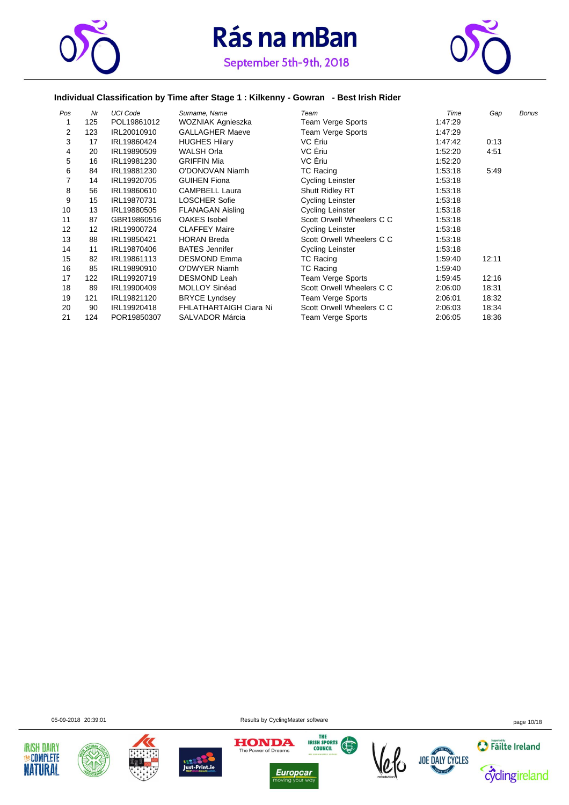



#### **Individual Classification by Time after Stage 1 : Kilkenny - Gowran - Best Irish Rider**

| Pos | Nr  | <b>UCI Code</b> | Surname, Name           | Team                      | Time    | Gap   | <b>Bonus</b> |
|-----|-----|-----------------|-------------------------|---------------------------|---------|-------|--------------|
|     | 125 | POL19861012     | WOZNIAK Agnieszka       | Team Verge Sports         | 1:47:29 |       |              |
| 2   | 123 | IRL20010910     | <b>GALLAGHER Maeve</b>  | Team Verge Sports         | 1:47:29 |       |              |
| 3   | 17  | IRL19860424     | <b>HUGHES Hilary</b>    | VC Eriu                   | 1:47:42 | 0:13  |              |
| 4   | 20  | IRL19890509     | <b>WALSH Orla</b>       | VC Eriu                   | 1:52:20 | 4:51  |              |
| 5   | 16  | IRL19981230     | <b>GRIFFIN Mia</b>      | VC Ériu                   | 1:52:20 |       |              |
| 6   | 84  | IRL19881230     | O'DONOVAN Niamh         | <b>TC Racing</b>          | 1:53:18 | 5:49  |              |
|     | 14  | IRL19920705     | <b>GUIHEN Fiona</b>     | <b>Cycling Leinster</b>   | 1:53:18 |       |              |
| 8   | 56  | IRL19860610     | <b>CAMPBELL Laura</b>   | <b>Shutt Ridley RT</b>    | 1:53:18 |       |              |
| 9   | 15  | IRL19870731     | <b>LOSCHER Sofie</b>    | <b>Cycling Leinster</b>   | 1:53:18 |       |              |
| 10  | 13  | IRL19880505     | <b>FLANAGAN Aisling</b> | <b>Cycling Leinster</b>   | 1:53:18 |       |              |
| 11  | 87  | GBR19860516     | <b>OAKES</b> Isobel     | Scott Orwell Wheelers C C | 1:53:18 |       |              |
| 12  | 12  | IRL19900724     | <b>CLAFFEY Maire</b>    | Cycling Leinster          | 1:53:18 |       |              |
| 13  | 88  | IRL19850421     | <b>HORAN Breda</b>      | Scott Orwell Wheelers C C | 1:53:18 |       |              |
| 14  | 11  | IRL19870406     | <b>BATES Jennifer</b>   | <b>Cycling Leinster</b>   | 1:53:18 |       |              |
| 15  | 82  | IRL19861113     | <b>DESMOND Emma</b>     | TC Racing                 | 1:59:40 | 12:11 |              |
| 16  | 85  | IRL19890910     | <b>O'DWYER Niamh</b>    | <b>TC Racing</b>          | 1:59:40 |       |              |
| 17  | 122 | IRL19920719     | <b>DESMOND Leah</b>     | Team Verge Sports         | 1:59:45 | 12:16 |              |
| 18  | 89  | IRL19900409     | <b>MOLLOY Sinéad</b>    | Scott Orwell Wheelers C C | 2:06:00 | 18:31 |              |
| 19  | 121 | IRL19821120     | <b>BRYCE Lyndsey</b>    | Team Verge Sports         | 2:06:01 | 18:32 |              |
| 20  | 90  | IRL19920418     | FHLATHARTAIGH Ciara Ni  | Scott Orwell Wheelers C C | 2:06:03 | 18:34 |              |
| 21  | 124 | POR19850307     | <b>SALVADOR Márcia</b>  | Team Verge Sports         | 2:06:05 | 18:36 |              |













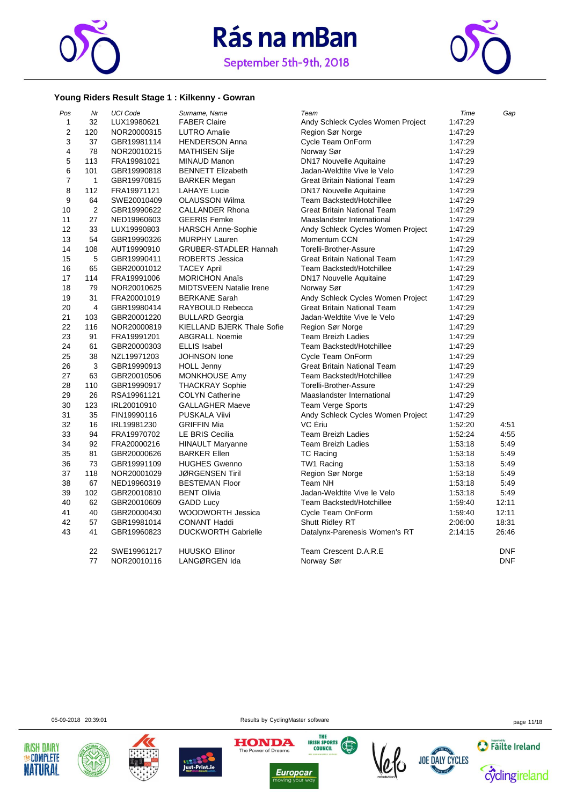



#### **Young Riders Result Stage 1 : Kilkenny - Gowran**

| 32<br>$\mathbf{1}$<br>Andy Schleck Cycles Women Project<br>LUX19980621<br><b>FABER Claire</b><br>$\overline{2}$<br>120<br>Region Sør Norge<br>NOR20000315<br><b>LUTRO Amalie</b> | 1:47:29<br>1:47:29 |            |
|----------------------------------------------------------------------------------------------------------------------------------------------------------------------------------|--------------------|------------|
|                                                                                                                                                                                  |                    |            |
|                                                                                                                                                                                  |                    |            |
| 3<br>Cycle Team OnForm<br>37<br>GBR19981114<br><b>HENDERSON Anna</b>                                                                                                             | 1:47:29            |            |
| 4<br>78<br>NOR20010215<br><b>MATHISEN Silje</b><br>Norway Sør                                                                                                                    | 1:47:29            |            |
| 5<br>DN17 Nouvelle Aquitaine<br>113<br>FRA19981021<br><b>MINAUD Manon</b>                                                                                                        | 1:47:29            |            |
| 6<br>101<br>GBR19990818<br><b>BENNETT Elizabeth</b><br>Jadan-Weldtite Vive le Velo                                                                                               | 1:47:29            |            |
| 7<br>$\mathbf{1}$<br>GBR19970815<br><b>BARKER Megan</b><br>Great Britain National Team                                                                                           | 1:47:29            |            |
| 8<br>112<br>FRA19971121<br><b>LAHAYE Lucie</b><br><b>DN17 Nouvelle Aquitaine</b>                                                                                                 | 1:47:29            |            |
| 9<br>64<br>SWE20010409<br><b>OLAUSSON Wilma</b><br>Team Backstedt/Hotchillee                                                                                                     | 1:47:29            |            |
| $\overline{2}$<br>10<br><b>CALLANDER Rhona</b><br>Great Britain National Team<br>GBR19990622                                                                                     | 1:47:29            |            |
| 11<br>27<br><b>GEERIS Femke</b><br>Maaslandster International<br>NED19960603                                                                                                     | 1:47:29            |            |
| 12<br>33<br>LUX19990803<br><b>HARSCH Anne-Sophie</b><br>Andy Schleck Cycles Women Project                                                                                        | 1:47:29            |            |
| 13<br>54<br>Momentum CCN<br>GBR19990326<br><b>MURPHY Lauren</b>                                                                                                                  | 1:47:29            |            |
| 14<br>108<br>GRUBER-STADLER Hannah<br>Torelli-Brother-Assure<br>AUT19990910                                                                                                      | 1:47:29            |            |
| 15<br>5<br>GBR19990411<br>ROBERTS Jessica<br><b>Great Britain National Team</b>                                                                                                  | 1:47:29            |            |
| 16<br>65<br><b>TACEY April</b><br>Team Backstedt/Hotchillee<br>GBR20001012                                                                                                       | 1:47:29            |            |
| 17<br><b>MORICHON Anaïs</b><br>DN17 Nouvelle Aquitaine<br>114<br>FRA19991006                                                                                                     | 1:47:29            |            |
| 18<br>79<br>NOR20010625<br><b>MIDTSVEEN Natalie Irene</b><br>Norway Sør                                                                                                          | 1:47:29            |            |
| 19<br>31<br>Andy Schleck Cycles Women Project<br>FRA20001019<br><b>BERKANE Sarah</b>                                                                                             | 1:47:29            |            |
| 20<br><b>Great Britain National Team</b><br>4<br>GBR19980414<br>RAYBOULD Rebecca                                                                                                 | 1:47:29            |            |
| 21<br>103<br>Jadan-Weldtite Vive le Velo<br>GBR20001220<br><b>BULLARD Georgia</b>                                                                                                | 1:47:29            |            |
| 22<br><b>KIELLAND BJERK Thale Sofie</b><br>116<br>NOR20000819<br>Region Sør Norge                                                                                                | 1:47:29            |            |
| 23<br>91<br><b>ABGRALL Noemie</b><br><b>Team Breizh Ladies</b><br>FRA19991201                                                                                                    | 1:47:29            |            |
| 24<br>61<br><b>ELLIS Isabel</b><br>Team Backstedt/Hotchillee<br>GBR20000303                                                                                                      | 1:47:29            |            |
| 25<br>38<br>JOHNSON lone<br>Cycle Team OnForm<br>NZL19971203                                                                                                                     | 1:47:29            |            |
| 3<br>26<br><b>Great Britain National Team</b><br>GBR19990913<br><b>HOLL Jenny</b>                                                                                                | 1:47:29            |            |
| 27<br>63<br>Team Backstedt/Hotchillee<br>GBR20010506<br>MONKHOUSE Amy                                                                                                            | 1:47:29            |            |
| 28<br>110<br>Torelli-Brother-Assure<br>GBR19990917<br><b>THACKRAY Sophie</b>                                                                                                     | 1:47:29            |            |
| 29<br>26<br>RSA19961121<br><b>COLYN Catherine</b><br>Maaslandster International                                                                                                  | 1:47:29            |            |
| 30<br>123<br>Team Verge Sports<br>IRL20010910<br>GALLAGHER Maeve                                                                                                                 | 1:47:29            |            |
| 31<br>35<br>PUSKALA Viivi<br>Andy Schleck Cycles Women Project<br>FIN19990116                                                                                                    | 1:47:29            |            |
| 32<br>VC Ériu<br>16<br><b>GRIFFIN Mia</b><br>IRL19981230                                                                                                                         | 1:52:20            | 4:51       |
| 33<br>94<br>LE BRIS Cecilia<br><b>Team Breizh Ladies</b><br>FRA19970702                                                                                                          | 1:52:24            | 4:55       |
| 34<br>92<br>FRA20000216<br><b>HINAULT Maryanne</b><br><b>Team Breizh Ladies</b>                                                                                                  | 1:53:18            | 5:49       |
| 35<br>81<br><b>BARKER Ellen</b><br><b>TC Racing</b><br>GBR20000626                                                                                                               | 1:53:18            | 5:49       |
| 73<br>36<br>TW1 Racing<br>GBR19991109<br><b>HUGHES Gwenno</b>                                                                                                                    | 1:53:18            | 5:49       |
| Region Sør Norge<br>37<br>118<br>NOR20001029<br><b>JØRGENSEN Tiril</b>                                                                                                           | 1:53:18            | 5:49       |
| 38<br>67<br><b>BESTEMAN Floor</b><br>Team NH<br>NED19960319                                                                                                                      | 1:53:18            | 5:49       |
| 39<br>102<br>Jadan-Weldtite Vive le Velo<br>GBR20010810<br><b>BENT Olivia</b>                                                                                                    | 1:53:18            | 5:49       |
| 40<br>62<br><b>GADD Lucy</b><br>Team Backstedt/Hotchillee<br>GBR20010609                                                                                                         | 1:59:40            | 12:11      |
| 41<br>40<br>WOODWORTH Jessica<br>Cycle Team OnForm<br>GBR20000430                                                                                                                | 1:59:40            | 12:11      |
| 42<br>57<br><b>CONANT Haddi</b><br>Shutt Ridley RT<br>GBR19981014                                                                                                                | 2:06:00            | 18:31      |
| 43<br>41<br><b>DUCKWORTH Gabrielle</b><br>GBR19960823<br>Datalynx-Parenesis Women's RT                                                                                           | 2:14:15            | 26:46      |
| 22<br>SWE19961217<br><b>HUUSKO Ellinor</b><br>Team Crescent D.A.R.E                                                                                                              |                    | <b>DNF</b> |
| 77<br>NOR20010116<br>LANGØRGEN Ida<br>Norway Sør                                                                                                                                 |                    | <b>DNF</b> |







05-09-2018 20:39:01 Results by CyclingMaster software page 11/18





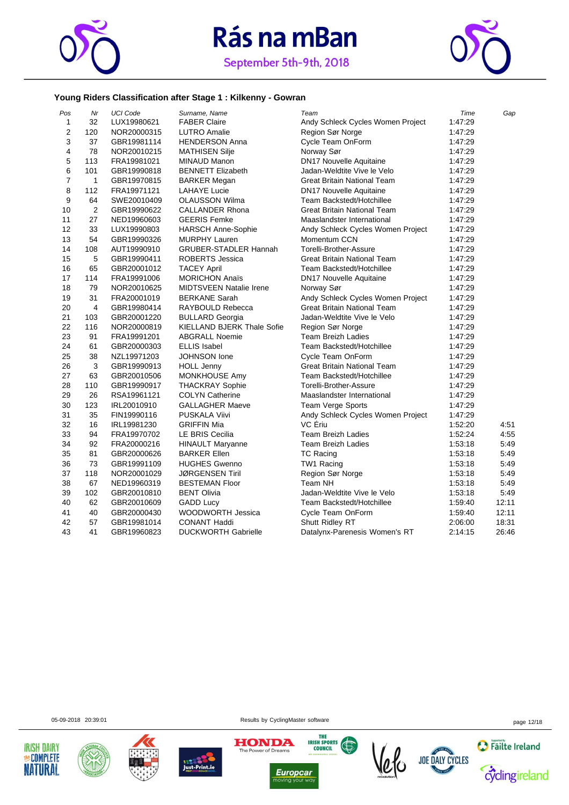



#### **Young Riders Classification after Stage 1 : Kilkenny - Gowran**

| Pos            | Mr             | <b>UCI Code</b> | Surname, Name                  | Team                               | Time    | Gap   |
|----------------|----------------|-----------------|--------------------------------|------------------------------------|---------|-------|
| $\mathbf{1}$   | 32             | LUX19980621     | <b>FABER Claire</b>            | Andy Schleck Cycles Women Project  | 1:47:29 |       |
| $\overline{2}$ | 120            | NOR20000315     | <b>LUTRO Amalie</b>            | Region Sør Norge                   | 1:47:29 |       |
| 3              | 37             | GBR19981114     | <b>HENDERSON Anna</b>          | Cycle Team OnForm                  | 1:47:29 |       |
| 4              | 78             | NOR20010215     | <b>MATHISEN Silje</b>          | Norway Sør                         | 1:47:29 |       |
| 5              | 113            | FRA19981021     | <b>MINAUD Manon</b>            | DN17 Nouvelle Aquitaine            | 1:47:29 |       |
| 6              | 101            | GBR19990818     | <b>BENNETT Elizabeth</b>       | Jadan-Weldtite Vive le Velo        | 1:47:29 |       |
| $\overline{7}$ | $\mathbf{1}$   | GBR19970815     | <b>BARKER Megan</b>            | <b>Great Britain National Team</b> | 1:47:29 |       |
| 8              | 112            | FRA19971121     | <b>LAHAYE Lucie</b>            | <b>DN17 Nouvelle Aquitaine</b>     | 1:47:29 |       |
| 9              | 64             | SWE20010409     | <b>OLAUSSON Wilma</b>          | Team Backstedt/Hotchillee          | 1:47:29 |       |
| 10             | $\overline{2}$ | GBR19990622     | <b>CALLANDER Rhona</b>         | <b>Great Britain National Team</b> | 1:47:29 |       |
| 11             | 27             | NED19960603     | <b>GEERIS Femke</b>            | Maaslandster International         | 1:47:29 |       |
| 12             | 33             | LUX19990803     | <b>HARSCH Anne-Sophie</b>      | Andy Schleck Cycles Women Project  | 1:47:29 |       |
| 13             | 54             | GBR19990326     | <b>MURPHY Lauren</b>           | Momentum CCN                       | 1:47:29 |       |
| 14             | 108            | AUT19990910     | <b>GRUBER-STADLER Hannah</b>   | Torelli-Brother-Assure             | 1:47:29 |       |
| 15             | 5              | GBR19990411     | <b>ROBERTS Jessica</b>         | <b>Great Britain National Team</b> | 1:47:29 |       |
| 16             | 65             | GBR20001012     | <b>TACEY April</b>             | Team Backstedt/Hotchillee          | 1:47:29 |       |
| 17             | 114            | FRA19991006     | <b>MORICHON Anaïs</b>          | <b>DN17 Nouvelle Aquitaine</b>     | 1:47:29 |       |
| 18             | 79             | NOR20010625     | <b>MIDTSVEEN Natalie Irene</b> | Norway Sør                         | 1:47:29 |       |
| 19             | 31             | FRA20001019     | <b>BERKANE Sarah</b>           | Andy Schleck Cycles Women Project  | 1:47:29 |       |
| 20             | 4              | GBR19980414     | RAYBOULD Rebecca               | <b>Great Britain National Team</b> | 1:47:29 |       |
| 21             | 103            | GBR20001220     | <b>BULLARD Georgia</b>         | Jadan-Weldtite Vive le Velo        | 1:47:29 |       |
| 22             | 116            | NOR20000819     | KIELLAND BJERK Thale Sofie     | Region Sør Norge                   | 1:47:29 |       |
| 23             | 91             | FRA19991201     | <b>ABGRALL Noemie</b>          | <b>Team Breizh Ladies</b>          | 1:47:29 |       |
| 24             | 61             | GBR20000303     | <b>ELLIS Isabel</b>            | Team Backstedt/Hotchillee          | 1:47:29 |       |
| 25             | 38             | NZL19971203     | JOHNSON lone                   | Cycle Team OnForm                  | 1:47:29 |       |
| 26             | 3              | GBR19990913     | <b>HOLL Jenny</b>              | <b>Great Britain National Team</b> | 1:47:29 |       |
| 27             | 63             | GBR20010506     | MONKHOUSE Amy                  | Team Backstedt/Hotchillee          | 1:47:29 |       |
| 28             | 110            | GBR19990917     | <b>THACKRAY Sophie</b>         | Torelli-Brother-Assure             | 1:47:29 |       |
| 29             | 26             | RSA19961121     | <b>COLYN Catherine</b>         | Maaslandster International         | 1:47:29 |       |
| 30             | 123            | IRL20010910     | <b>GALLAGHER Maeve</b>         | Team Verge Sports                  | 1:47:29 |       |
| 31             | 35             | FIN19990116     | <b>PUSKALA Viivi</b>           | Andy Schleck Cycles Women Project  | 1:47:29 |       |
| 32             | 16             | IRL19981230     | <b>GRIFFIN Mia</b>             | VC Ériu                            | 1:52:20 | 4:51  |
| 33             | 94             | FRA19970702     | <b>LE BRIS Cecilia</b>         | <b>Team Breizh Ladies</b>          | 1:52:24 | 4:55  |
| 34             | 92             | FRA20000216     | <b>HINAULT Maryanne</b>        | <b>Team Breizh Ladies</b>          | 1:53:18 | 5.49  |
| 35             | 81             | GBR20000626     | <b>BARKER Ellen</b>            | <b>TC Racing</b>                   | 1:53:18 | 5:49  |
| 36             | 73             | GBR19991109     | <b>HUGHES Gwenno</b>           | TW1 Racing                         | 1:53:18 | 5:49  |
| 37             | 118            | NOR20001029     | <b>JØRGENSEN Tiril</b>         | Region Sør Norge                   | 1:53:18 | 5:49  |
| 38             | 67             | NED19960319     | <b>BESTEMAN Floor</b>          | Team NH                            | 1:53:18 | 5.49  |
| 39             | 102            | GBR20010810     | <b>BENT Olivia</b>             | Jadan-Weldtite Vive le Velo        | 1:53:18 | 5:49  |
| 40             | 62             | GBR20010609     | <b>GADD Lucy</b>               | Team Backstedt/Hotchillee          | 1:59:40 | 12:11 |
| 41             | 40             | GBR20000430     | WOODWORTH Jessica              | Cycle Team OnForm                  | 1:59:40 | 12:11 |
| 42             | 57             | GBR19981014     | <b>CONANT Haddi</b>            | Shutt Ridley RT                    | 2:06:00 | 18:31 |
| 43             | 41             | GBR19960823     | <b>DUCKWORTH Gabrielle</b>     | Datalynx-Parenesis Women's RT      | 2:14:15 | 26:46 |

05-09-2018 20:39:01 Results by CyclingMaster software page 12/18













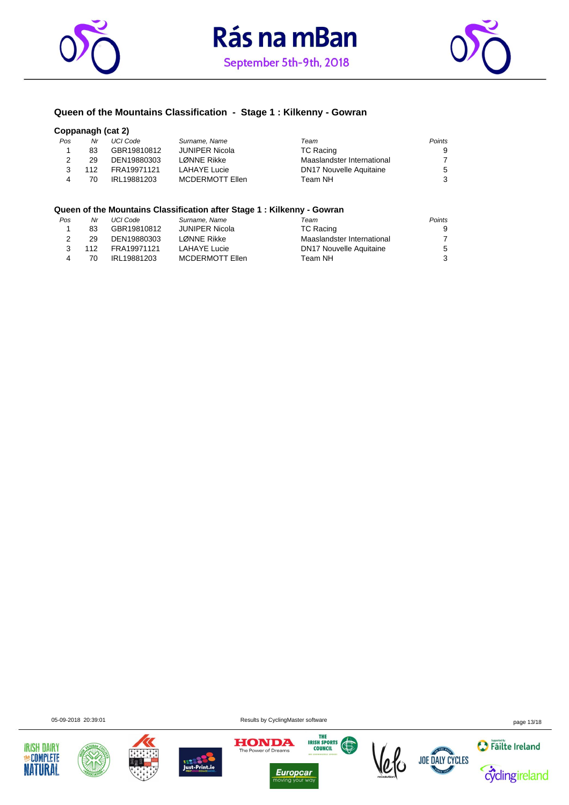





#### **Queen of the Mountains Classification - Stage 1 : Kilkenny - Gowran**

#### **Coppanagh (cat 2)**

| Pos | Nr  | UCI Code    | Surname, Name          | Team                           | Points |
|-----|-----|-------------|------------------------|--------------------------------|--------|
|     | 83  | GBR19810812 | JUNIPER Nicola         | <b>TC Racing</b>               | 9      |
|     | 29  | DEN19880303 | LØNNE Rikke            | Maaslandster International     |        |
|     | 112 | FRA19971121 | <b>LAHAYE Lucie</b>    | <b>DN17 Nouvelle Aquitaine</b> | 5      |
|     | 70  | IRL19881203 | <b>MCDERMOTT Ellen</b> | Team NH                        | -3     |
|     |     |             |                        |                                |        |

#### **Queen of the Mountains Classification after Stage 1 : Kilkenny - Gowran**

| Pos | Nr  | UCI Code    | Surname, Name          | Team                           | Points         |
|-----|-----|-------------|------------------------|--------------------------------|----------------|
|     | 83  | GBR19810812 | JUNIPER Nicola         | <b>TC Racing</b>               | 9              |
|     | 29  | DEN19880303 | LØNNE Rikke            | Maaslandster International     | $\overline{7}$ |
|     | 112 | FRA19971121 | <b>LAHAYE Lucie</b>    | <b>DN17 Nouvelle Aquitaine</b> | 5              |
| 4   | 70  | IRL19881203 | <b>MCDERMOTT Ellen</b> | Team NH                        | 3              |
|     |     |             |                        |                                |                |

05-09-2018 20:39:01 Results by CyclingMaster software page 13/18















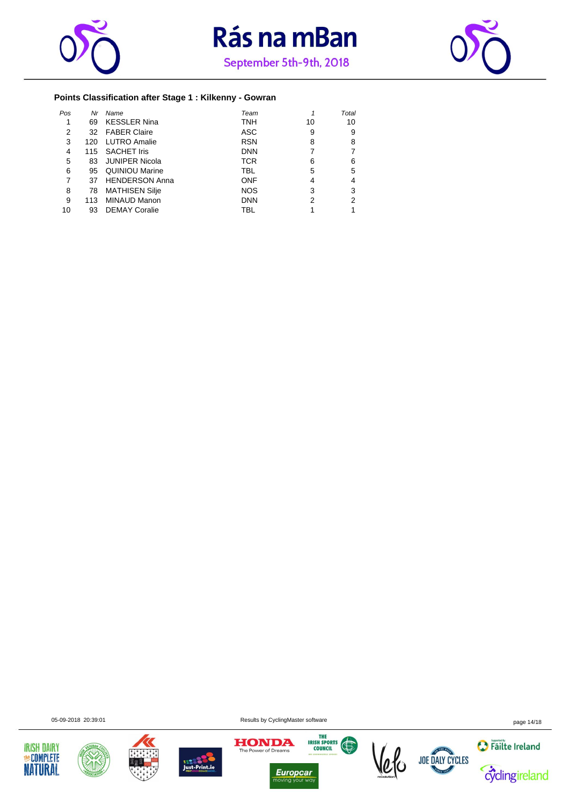





### **Points Classification after Stage 1 : Kilkenny - Gowran**

| Pos | Nr  | Name                  | Team       |    | Total |
|-----|-----|-----------------------|------------|----|-------|
|     | 69  | <b>KESSLER Nina</b>   | <b>TNH</b> | 10 | 10    |
| 2   | 32  | <b>FABER Claire</b>   | ASC        | 9  | 9     |
| 3   | 120 | <b>LUTRO Amalie</b>   | <b>RSN</b> | 8  | 8     |
| 4   | 115 | <b>SACHET Iris</b>    | <b>DNN</b> |    | 7     |
| 5   | 83  | <b>JUNIPER Nicola</b> | <b>TCR</b> | 6  | 6     |
| 6   | 95  | <b>QUINIOU Marine</b> | TBL        | 5  | 5     |
| 7   | 37  | <b>HENDERSON Anna</b> | <b>ONF</b> | 4  | 4     |
| 8   | 78  | <b>MATHISEN Silje</b> | <b>NOS</b> | 3  | 3     |
| 9   | 113 | <b>MINAUD Manon</b>   | <b>DNN</b> | 2  | 2     |
| 10  | 93  | <b>DEMAY Coralie</b>  | TBL        |    |       |















05-09-2018 20:39:01 Results by CyclingMaster software page 14/18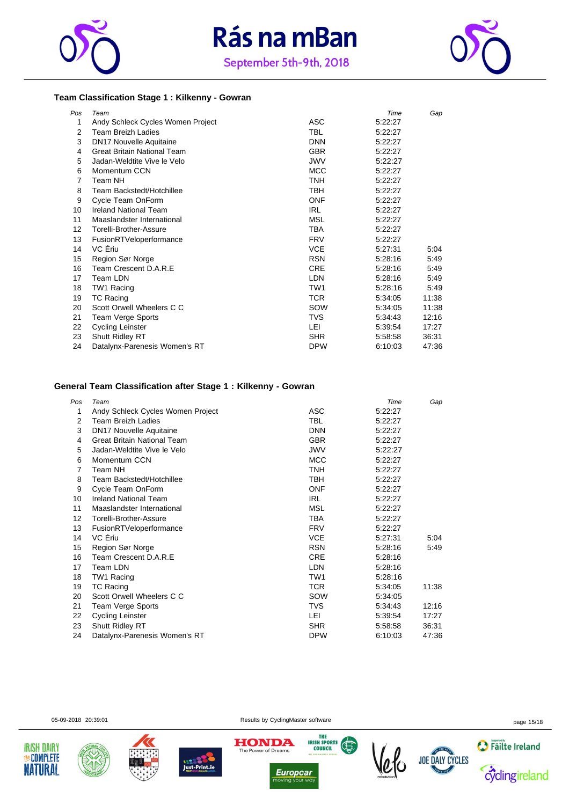





#### **Team Classification Stage 1 : Kilkenny - Gowran**

| Pos | Team                               |            | Time    | Gap   |
|-----|------------------------------------|------------|---------|-------|
| 1   | Andy Schleck Cycles Women Project  | <b>ASC</b> | 5:22:27 |       |
| 2   | <b>Team Breizh Ladies</b>          | TBL        | 5:22:27 |       |
| 3   | <b>DN17 Nouvelle Aquitaine</b>     | <b>DNN</b> | 5:22:27 |       |
| 4   | <b>Great Britain National Team</b> | <b>GBR</b> | 5:22:27 |       |
| 5   | Jadan-Weldtite Vive le Velo        | <b>JWV</b> | 5.22.27 |       |
| 6   | Momentum CCN                       | <b>MCC</b> | 5:22:27 |       |
| 7   | Team NH                            | TNH        | 5:22:27 |       |
| 8   | Team Backstedt/Hotchillee          | TBH        | 5:22:27 |       |
| 9   | Cycle Team OnForm                  | <b>ONF</b> | 5:22:27 |       |
| 10  | <b>Ireland National Team</b>       | <b>IRL</b> | 5:22:27 |       |
| 11  | Maaslandster International         | MSL        | 5:22:27 |       |
| 12  | Torelli-Brother-Assure             | TBA        | 5:22:27 |       |
| 13  | FusionRTVeloperformance            | <b>FRV</b> | 5:22:27 |       |
| 14  | VC Ériu                            | <b>VCE</b> | 5:27:31 | 5:04  |
| 15  | Region Sør Norge                   | <b>RSN</b> | 5:28:16 | 5:49  |
| 16  | Team Crescent D.A.R.E              | <b>CRE</b> | 5:28:16 | 5:49  |
| 17  | Team LDN                           | <b>LDN</b> | 5:28:16 | 5:49  |
| 18  | TW1 Racing                         | TW1        | 5:28:16 | 5:49  |
| 19  | <b>TC Racing</b>                   | <b>TCR</b> | 5.34.05 | 11:38 |
| 20  | Scott Orwell Wheelers C C          | SOW        | 5.34.05 | 11:38 |
| 21  | Team Verge Sports                  | <b>TVS</b> | 5:34:43 | 12:16 |
| 22  | <b>Cycling Leinster</b>            | LEI        | 5:39:54 | 17:27 |
| 23  | Shutt Ridley RT                    | <b>SHR</b> | 5.58.58 | 36:31 |
| 24  | Datalynx-Parenesis Women's RT      | <b>DPW</b> | 6:10:03 | 47:36 |

#### **General Team Classification after Stage 1 : Kilkenny - Gowran**

| Pos | Team                               |                 | Time    | Gap   |
|-----|------------------------------------|-----------------|---------|-------|
| 1   | Andy Schleck Cycles Women Project  | ASC             | 5:22:27 |       |
| 2   | <b>Team Breizh Ladies</b>          | <b>TBL</b>      | 5:22:27 |       |
| 3   | DN17 Nouvelle Aquitaine            | <b>DNN</b>      | 5.22.27 |       |
| 4   | <b>Great Britain National Team</b> | <b>GBR</b>      | 5.22.27 |       |
| 5   | Jadan-Weldtite Vive le Velo        | <b>JWV</b>      | 5:22:27 |       |
| 6   | Momentum CCN                       | <b>MCC</b>      | 5:22:27 |       |
| 7   | Team NH                            | <b>TNH</b>      | 5.22.27 |       |
| 8   | Team Backstedt/Hotchillee          | TBH.            | 5.22.27 |       |
| 9   | Cycle Team OnForm                  | <b>ONF</b>      | 5:22:27 |       |
| 10  | <b>Ireland National Team</b>       | <b>IRL</b>      | 5:22:27 |       |
| 11  | Maaslandster International         | <b>MSL</b>      | 5.22.27 |       |
| 12  | Torelli-Brother-Assure             | TBA             | 5.22.27 |       |
| 13  | FusionRTVeloperformance            | <b>FRV</b>      | 5:22:27 |       |
| 14  | VC Eriu                            | <b>VCE</b>      | 5:27:31 | 5:04  |
| 15  | Region Sør Norge                   | <b>RSN</b>      | 5:28:16 | 5:49  |
| 16  | Team Crescent D.A.R.E              | <b>CRE</b>      | 5:28:16 |       |
| 17  | Team LDN                           | <b>LDN</b>      | 5:28:16 |       |
| 18  | TW1 Racing                         | TW <sub>1</sub> | 5.28.16 |       |
| 19  | <b>TC Racing</b>                   | <b>TCR</b>      | 5:34:05 | 11:38 |
| 20  | Scott Orwell Wheelers C C          | SOW             | 5.34.05 |       |
| 21  | Team Verge Sports                  | <b>TVS</b>      | 5:34:43 | 12:16 |
| 22  | Cycling Leinster                   | LEI             | 5:39:54 | 17:27 |
| 23  | Shutt Ridley RT                    | <b>SHR</b>      | 5:58:58 | 36:31 |
| 24  | Datalynx-Parenesis Women's RT      | <b>DPW</b>      | 6:10:03 | 47:36 |

**IRISH DAIRY MECOMPLETE** 

**NATURAL** 

05-09-2018 20:39:01 example of the Results by CyclingMaster software page 15/18







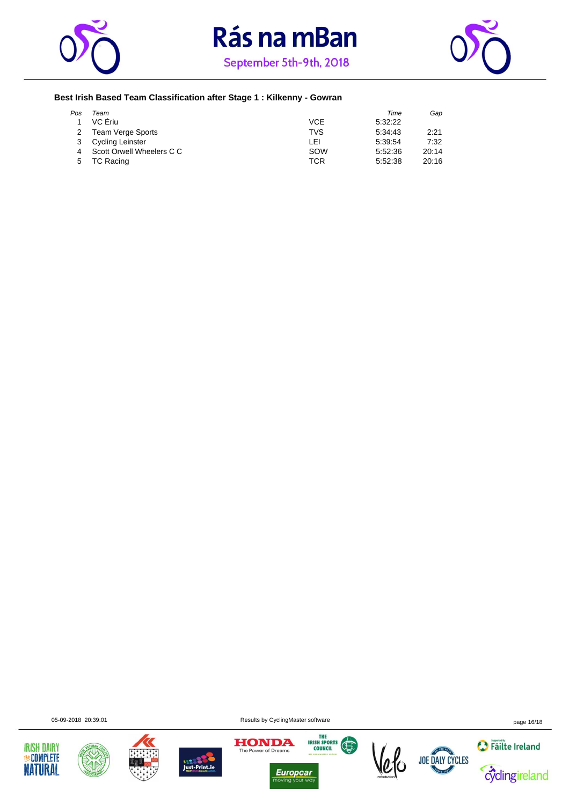





#### **Best Irish Based Team Classification after Stage 1 : Kilkenny - Gowran**

| Pos | Team                      |            | Time    | Gap   |
|-----|---------------------------|------------|---------|-------|
|     | VC Eriu                   | <b>VCE</b> | 5.32.22 |       |
|     | Team Verge Sports         | <b>TVS</b> | 5.34.43 | 2:21  |
|     | Cycling Leinster          | LEI        | 5.39.54 | 7:32  |
|     | Scott Orwell Wheelers C C | SOW        | 5:52:36 | 20:14 |
| 5   | TC Racing                 | TCR        | 5.52.38 | 20:16 |

05-09-2018 20:39:01 Results by CyclingMaster software page 16/18















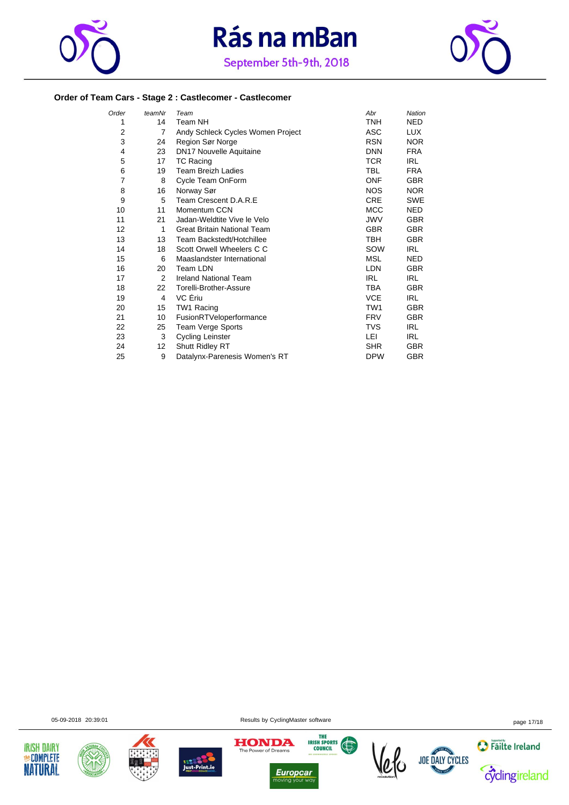





#### **Order of Team Cars - Stage 2 : Castlecomer - Castlecomer**

| Order | teamNr | Team                               | Abr             | Nation     |
|-------|--------|------------------------------------|-----------------|------------|
| 1     | 14     | Team NH                            | <b>TNH</b>      | <b>NED</b> |
| 2     | 7      | Andy Schleck Cycles Women Project  | ASC             | LUX.       |
| 3     | 24     | Region Sør Norge                   | <b>RSN</b>      | <b>NOR</b> |
| 4     | 23     | DN17 Nouvelle Aquitaine            | <b>DNN</b>      | <b>FRA</b> |
| 5     | 17     | <b>TC Racing</b>                   | <b>TCR</b>      | IRL        |
| 6     | 19     | <b>Team Breizh Ladies</b>          | <b>TBL</b>      | <b>FRA</b> |
| 7     | 8      | Cycle Team OnForm                  | <b>ONF</b>      | <b>GBR</b> |
| 8     | 16     | Norway Sør                         | <b>NOS</b>      | <b>NOR</b> |
| 9     | 5      | Team Crescent D.A.R.E              | <b>CRE</b>      | <b>SWE</b> |
| 10    | 11     | Momentum CCN                       | <b>MCC</b>      | <b>NED</b> |
| 11    | 21     | Jadan-Weldtite Vive le Velo        | <b>JWV</b>      | <b>GBR</b> |
| 12    | 1      | <b>Great Britain National Team</b> | <b>GBR</b>      | <b>GBR</b> |
| 13    | 13     | Team Backstedt/Hotchillee          | <b>TBH</b>      | <b>GBR</b> |
| 14    | 18     | Scott Orwell Wheelers C C          | SOW             | IRL.       |
| 15    | 6      | Maaslandster International         | <b>MSL</b>      | <b>NED</b> |
| 16    | 20     | Team LDN                           | <b>LDN</b>      | <b>GBR</b> |
| 17    | 2      | <b>Ireland National Team</b>       | <b>IRL</b>      | <b>IRL</b> |
| 18    | 22     | Torelli-Brother-Assure             | TBA             | <b>GBR</b> |
| 19    | 4      | VC Ériu                            | <b>VCE</b>      | <b>IRL</b> |
| 20    | 15     | TW1 Racing                         | TW <sub>1</sub> | <b>GBR</b> |
| 21    | 10     | FusionRTVeloperformance            | <b>FRV</b>      | <b>GBR</b> |
| 22    | 25     | Team Verge Sports                  | TVS             | IRL        |
| 23    | 3      | <b>Cycling Leinster</b>            | LEI             | IRL        |
| 24    | 12     | Shutt Ridley RT                    | <b>SHR</b>      | <b>GBR</b> |
| 25    | 9      | Datalynx-Parenesis Women's RT      | <b>DPW</b>      | <b>GBR</b> |

05-09-2018 20:39:01 Results by CyclingMaster software page 17/18